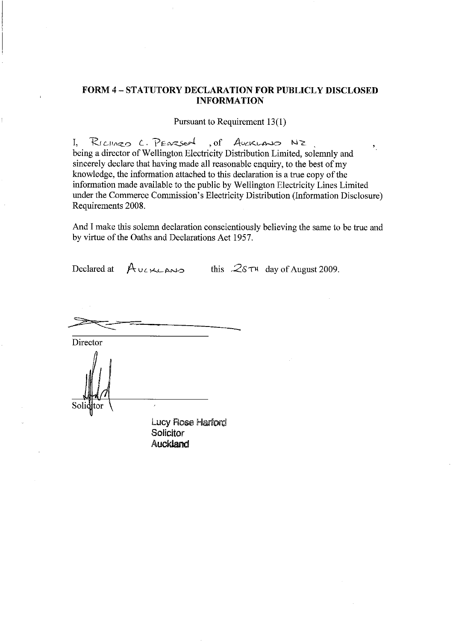# **FORM 4-STATUTORY DECLARATION FOR PUBLICLY DISCLOSED INFORMATION**

Pursuant to Requirement 13(1)

RICHARD C. PEARSON, of AUCKLAND NZ  $I_{\bullet}$ being a director of Wellington Electricity Distribution Limited, solemnly and sincerely declare that having made all reasonable enquiry, to the best of my knowledge, the information attached to this declaration is a true copy of the information made available to the public by Wellington Electricity Lines Limited under the Commerce Commission's Electricity Distribution (Information Disclosure) Requirements 2008.

And I make this solemn declaration conscientiously believing the same to be true and by virtue of the Oaths and Declarations Act 1957.

Declared at

AULKLAND this 2STH day of August 2009.

Director

Lucy Rose Harford Solicitor Auckland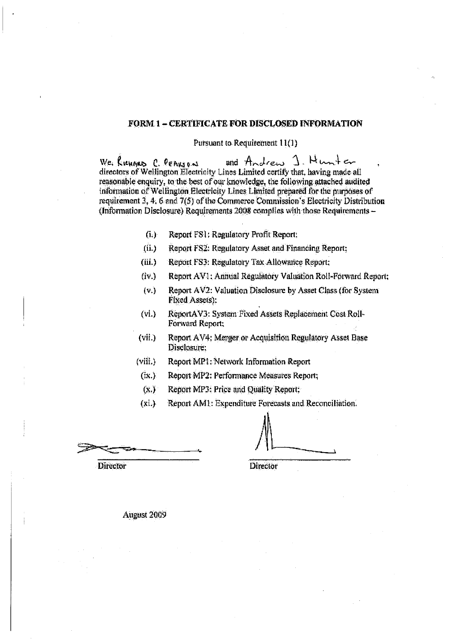# **FORM 1 - CERTIFICATE FOR DISCLOSED INFORMATION**

# Pursuant to Requirement 11(1)

and Andrew J. Hunter We. KICHARD C. PEARSON directors of Wellington Electricity Lines Limited certify that, having made all reasonable enquiry, to the best of our knowledge, the following attached audited information of Wellington Electricity Lines Limited prepared for the purposes of requirement 3, 4, 6 and 7(5) of the Commerce Commission's Electricity Distribution (Information Disclosure) Requirements 2008 compiles with those Requirements -

- $(i.)$ Report FS1: Regulatory Profit Report;
- $(ii.)$ Report FS2: Regulatory Asset and Financing Report;
- $(iii.)$ Report FS3: Regulatory Tax Allowance Report;
- $(iv)$ Report AV1: Annual Regulatory Valuation Roll-Forward Report;
- Report AV2: Valuation Disclosure by Asset Class (for System  $(v_i)$ Fixed Assets):
- ReportAV3: System Fixed Assets Replacement Cost Roll- $(v<sub>i</sub>)$ . Forward Report:
- $(vii.)$ Report AV4: Merger or Acquisition Regulatory Asset Base Disclosure:
- $(viii.)$ Report MP1: Network Information Report
	- $(ix.)$ Report MP2: Performance Measures Report;
	- $(x_i)$ Report MP3: Price and Quality Report;
- $(xi)$ Report AM1: Expenditure Forecasts and Reconciliation.

**Director** 

**Director** 

**August 2009**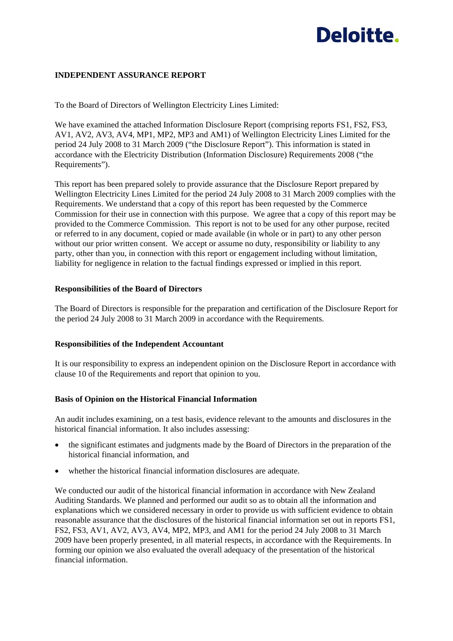# Deloitte.

# **INDEPENDENT ASSURANCE REPORT**

To the Board of Directors of Wellington Electricity Lines Limited:

We have examined the attached Information Disclosure Report (comprising reports FS1, FS2, FS3, AV1, AV2, AV3, AV4, MP1, MP2, MP3 and AM1) of Wellington Electricity Lines Limited for the period 24 July 2008 to 31 March 2009 ("the Disclosure Report"). This information is stated in accordance with the Electricity Distribution (Information Disclosure) Requirements 2008 ("the Requirements").

This report has been prepared solely to provide assurance that the Disclosure Report prepared by Wellington Electricity Lines Limited for the period 24 July 2008 to 31 March 2009 complies with the Requirements. We understand that a copy of this report has been requested by the Commerce Commission for their use in connection with this purpose. We agree that a copy of this report may be provided to the Commerce Commission. This report is not to be used for any other purpose, recited or referred to in any document, copied or made available (in whole or in part) to any other person without our prior written consent. We accept or assume no duty, responsibility or liability to any party, other than you, in connection with this report or engagement including without limitation, liability for negligence in relation to the factual findings expressed or implied in this report.

# **Responsibilities of the Board of Directors**

The Board of Directors is responsible for the preparation and certification of the Disclosure Report for the period 24 July 2008 to 31 March 2009 in accordance with the Requirements.

# **Responsibilities of the Independent Accountant**

It is our responsibility to express an independent opinion on the Disclosure Report in accordance with clause 10 of the Requirements and report that opinion to you.

# **Basis of Opinion on the Historical Financial Information**

An audit includes examining, on a test basis, evidence relevant to the amounts and disclosures in the historical financial information. It also includes assessing:

- the significant estimates and judgments made by the Board of Directors in the preparation of the historical financial information, and
- whether the historical financial information disclosures are adequate.

We conducted our audit of the historical financial information in accordance with New Zealand Auditing Standards. We planned and performed our audit so as to obtain all the information and explanations which we considered necessary in order to provide us with sufficient evidence to obtain reasonable assurance that the disclosures of the historical financial information set out in reports FS1, FS2, FS3, AV1, AV2, AV3, AV4, MP2, MP3, and AM1 for the period 24 July 2008 to 31 March 2009 have been properly presented, in all material respects, in accordance with the Requirements. In forming our opinion we also evaluated the overall adequacy of the presentation of the historical financial information.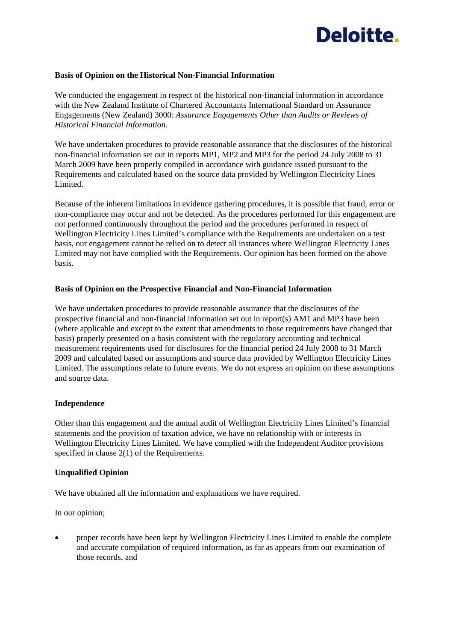# Deloitte.

# **Basis of Opinion on the Historical Non-Financial Information**

We conducted the engagement in respect of the historical non-financial information in accordance with the New Zealand Institute of Chartered Accountants International Standard on Assurance Engagements (New Zealand) 3000: *Assurance Engagements Other than Audits or Reviews of Historical Financial Information*.

We have undertaken procedures to provide reasonable assurance that the disclosures of the historical non-financial information set out in reports MP1, MP2 and MP3 for the period 24 July 2008 to 31 March 2009 have been properly compiled in accordance with guidance issued pursuant to the Requirements and calculated based on the source data provided by Wellington Electricity Lines Limited.

Because of the inherent limitations in evidence gathering procedures, it is possible that fraud, error or non-compliance may occur and not be detected. As the procedures performed for this engagement are not performed continuously throughout the period and the procedures performed in respect of Wellington Electricity Lines Limited's compliance with the Requirements are undertaken on a test basis, our engagement cannot be relied on to detect all instances where Wellington Electricity Lines Limited may not have complied with the Requirements. Our opinion has been formed on the above basis.

# **Basis of Opinion on the Prospective Financial and Non-Financial Information**

We have undertaken procedures to provide reasonable assurance that the disclosures of the prospective financial and non-financial information set out in report(s) AM1 and MP3 have been (where applicable and except to the extent that amendments to those requirements have changed that basis) properly presented on a basis consistent with the regulatory accounting and technical measurement requirements used for disclosures for the financial period 24 July 2008 to 31 March 2009 and calculated based on assumptions and source data provided by Wellington Electricity Lines Limited. The assumptions relate to future events. We do not express an opinion on these assumptions and source data.

# **Independence**

Other than this engagement and the annual audit of Wellington Electricity Lines Limited's financial statements and the provision of taxation advice, we have no relationship with or interests in Wellington Electricity Lines Limited. We have complied with the Independent Auditor provisions specified in clause 2(1) of the Requirements.

# **Unqualified Opinion**

We have obtained all the information and explanations we have required.

In our opinion;

• proper records have been kept by Wellington Electricity Lines Limited to enable the complete and accurate compilation of required information, as far as appears from our examination of those records, and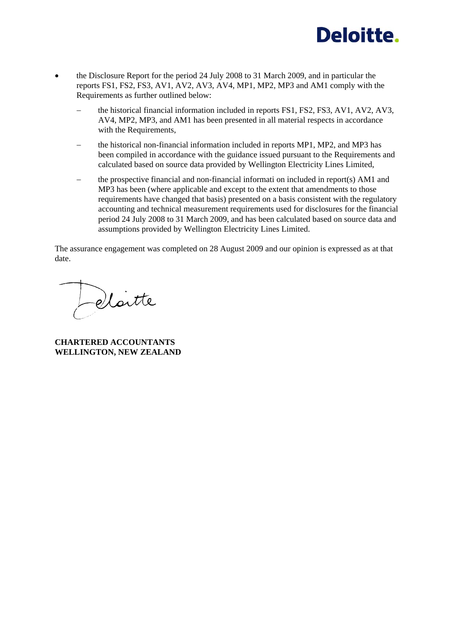

- the Disclosure Report for the period 24 July 2008 to 31 March 2009, and in particular the reports FS1, FS2, FS3, AV1, AV2, AV3, AV4, MP1, MP2, MP3 and AM1 comply with the Requirements as further outlined below:
	- the historical financial information included in reports FS1, FS2, FS3, AV1, AV2, AV3, AV4, MP2, MP3, and AM1 has been presented in all material respects in accordance with the Requirements.
	- the historical non-financial information included in reports MP1, MP2, and MP3 has been compiled in accordance with the guidance issued pursuant to the Requirements and calculated based on source data provided by Wellington Electricity Lines Limited,
	- the prospective financial and non-financial informati on included in report(s) AM1 and MP3 has been (where applicable and except to the extent that amendments to those requirements have changed that basis) presented on a basis consistent with the regulatory accounting and technical measurement requirements used for disclosures for the financial period 24 July 2008 to 31 March 2009, and has been calculated based on source data and assumptions provided by Wellington Electricity Lines Limited.

The assurance engagement was completed on 28 August 2009 and our opinion is expressed as at that date.

Pelaitte

**CHARTERED ACCOUNTANTS WELLINGTON, NEW ZEALAND**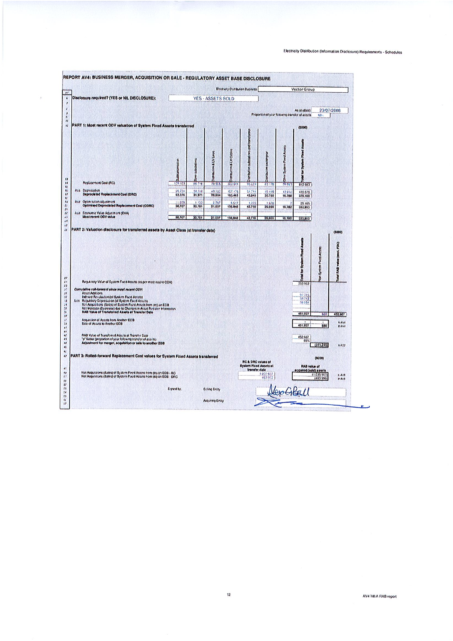

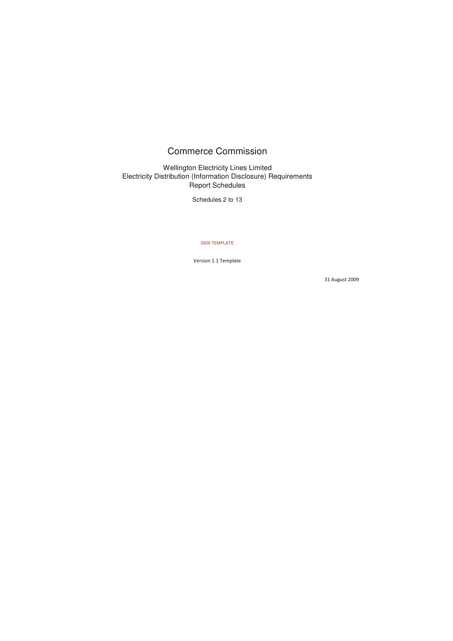# Commerce Commission

Wellington Electricity Lines Limited Electricity Distribution (Information Disclosure) Requirements Report Schedules

Schedules 2 to 13

2009 TEMPLATE

Version 1.1 Template

31 August 2009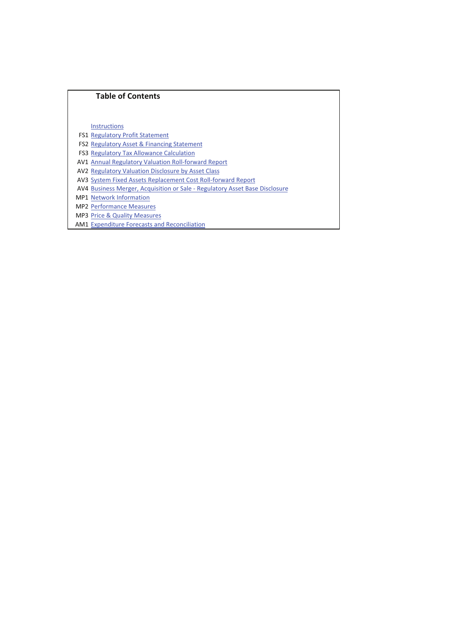# **Table of Contents**

Instructions

FS1 Regulatory Profit Statement FS2 Regulatory Asset & Financing Statement FS3 Regulatory Tax Allowance Calculation

AV1 Annual Regulatory Valuation Roll-forward Report

AV2 Regulatory Valuation Disclosure by Asset Class

AV3 System Fixed Assets Replacement Cost Roll-forward Report

AV4 Business Merger, Acquisition or Sale - Regulatory Asset Base Disclosure

MP1 Network Information

**MP2 Performance Measures** 

MP3 Price & Quality Measures

**AM1 Expenditure Forecasts and Reconciliation**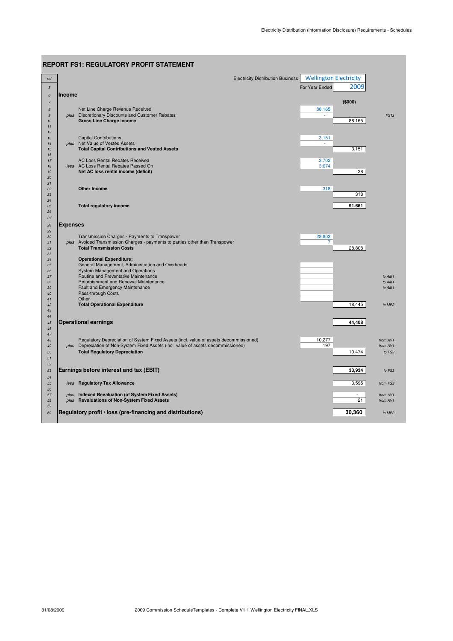|                  | <b>REPORT FS1: REGULATORY PROFIT STATEMENT</b>                                                            |                  |
|------------------|-----------------------------------------------------------------------------------------------------------|------------------|
| ref              | <b>Wellington Electricity</b><br><b>Electricity Distribution Business:</b>                                |                  |
| $\sqrt{5}$       | 2009<br>For Year Ended                                                                                    |                  |
| 6                | Income                                                                                                    |                  |
| $\overline{7}$   | (\$000)                                                                                                   |                  |
| $\boldsymbol{s}$ | Net Line Charge Revenue Received<br>88,165                                                                |                  |
| $\boldsymbol{g}$ | plus Discretionary Discounts and Customer Rebates                                                         | FS <sub>1a</sub> |
| 10<br>11         | <b>Gross Line Charge Income</b><br>88,165                                                                 |                  |
| 12               |                                                                                                           |                  |
| 13               | <b>Capital Contributions</b><br>3,151                                                                     |                  |
| 14               | plus Net Value of Vested Assets                                                                           |                  |
| 15               | 3,151<br><b>Total Capital Contributions and Vested Assets</b>                                             |                  |
| 16<br>17         | <b>AC Loss Rental Rebates Received</b><br>3,702                                                           |                  |
| $18\,$           | AC Loss Rental Rebates Passed On<br>3,674<br>less                                                         |                  |
| 19               | Net AC loss rental income (deficit)<br>28                                                                 |                  |
| 20               |                                                                                                           |                  |
| 21<br>22         | <b>Other Income</b><br>318                                                                                |                  |
| 23               | 318                                                                                                       |                  |
| 24               |                                                                                                           |                  |
| 25               | 91,661<br>Total regulatory income                                                                         |                  |
| 26               |                                                                                                           |                  |
| 27               |                                                                                                           |                  |
| 28<br>29         | <b>Expenses</b>                                                                                           |                  |
| $30\,$           | 28,802<br>Transmission Charges - Payments to Transpower                                                   |                  |
| 31               | plus Avoided Transmission Charges - payments to parties other than Transpower<br>7                        |                  |
| 32               | <b>Total Transmission Costs</b><br>28,808                                                                 |                  |
| 33<br>34         | <b>Operational Expenditure:</b>                                                                           |                  |
| $35\,$           | General Management, Administration and Overheads                                                          |                  |
| 36               | System Management and Operations                                                                          |                  |
| 37               | Routine and Preventative Maintenance                                                                      | to AM1           |
| $38\,$<br>39     | Refurbishment and Renewal Maintenance<br>Fault and Emergency Maintenance                                  | to AM1<br>to AM1 |
| 40               | Pass-through Costs                                                                                        |                  |
| 41               | Other                                                                                                     |                  |
| 42               | <b>Total Operational Expenditure</b><br>18,445                                                            | to MP2           |
| 43<br>44         |                                                                                                           |                  |
| 45               | <b>Operational earnings</b><br>44,408                                                                     |                  |
| 46               |                                                                                                           |                  |
| 47               |                                                                                                           |                  |
| 48               | Regulatory Depreciation of System Fixed Assets (incl. value of assets decommissioned)<br>10,277           | from AV1         |
| 49               | 197<br>plus Depreciation of Non-System Fixed Assets (incl. value of assets decommissioned)                | from AV1         |
| 50<br>51         | <b>Total Regulatory Depreciation</b><br>10,474                                                            | to FS3           |
| 52               |                                                                                                           |                  |
| 53               | Earnings before interest and tax (EBIT)<br>33,934                                                         | to FS3           |
| 54               |                                                                                                           |                  |
| 55               | <b>Regulatory Tax Allowance</b><br>3,595<br>less                                                          | from FS3         |
| 56               |                                                                                                           |                  |
| 57               | plus Indexed Revaluation (of System Fixed Assets)<br><b>Revaluations of Non-System Fixed Assets</b><br>21 | from AV1         |
| 58<br>59         | plus                                                                                                      | from AV1         |
| 60               | Regulatory profit / loss (pre-financing and distributions)<br>30,360                                      | to MP2           |
|                  |                                                                                                           |                  |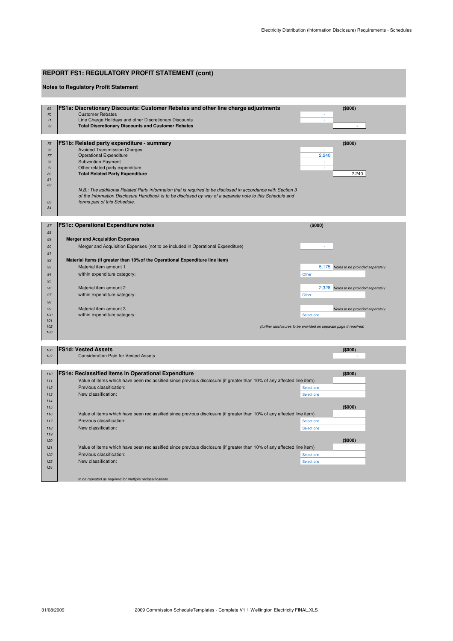|           | REPORT FS1: REGULATORY PROFIT STATEMENT (cont)                                                                        |                                                                   |
|-----------|-----------------------------------------------------------------------------------------------------------------------|-------------------------------------------------------------------|
|           |                                                                                                                       |                                                                   |
|           | <b>Notes to Regulatory Profit Statement</b>                                                                           |                                                                   |
|           |                                                                                                                       |                                                                   |
| 69        | FS1a: Discretionary Discounts: Customer Rebates and other line charge adjustments                                     | (\$000)                                                           |
| 70        | <b>Customer Rebates</b>                                                                                               | $\sim$                                                            |
| 71        | Line Charge Holidays and other Discretionary Discounts                                                                |                                                                   |
| 72        | <b>Total Discretionary Discounts and Customer Rebates</b>                                                             | $\sim$                                                            |
|           |                                                                                                                       |                                                                   |
| 75        | FS1b: Related party expenditure - summary                                                                             | (\$000)                                                           |
| 76        | <b>Avoided Transmission Charges</b>                                                                                   | $\sim$                                                            |
| 77        | <b>Operational Expenditure</b>                                                                                        | 2,240                                                             |
| 78        | <b>Subvention Payment</b>                                                                                             |                                                                   |
| 79        | Other related party expenditure<br><b>Total Related Party Expenditure</b>                                             | ÷,<br>2,240                                                       |
| 80<br>81  |                                                                                                                       |                                                                   |
| 82        |                                                                                                                       |                                                                   |
|           | N.B.: The additional Related Party information that is required to be disclosed in accordance with Section 3          |                                                                   |
|           | of the Information Disclosure Handbook is to be disclosed by way of a separate note to this Schedule and              |                                                                   |
| 83<br>84  | forms part of this Schedule.                                                                                          |                                                                   |
|           |                                                                                                                       |                                                                   |
|           |                                                                                                                       |                                                                   |
| 87        | <b>FS1c: Operational Expenditure notes</b>                                                                            | (\$000)                                                           |
| 88        |                                                                                                                       |                                                                   |
| 89        | <b>Merger and Acquisition Expenses</b>                                                                                |                                                                   |
| 90        | Merger and Acquisition Expenses (not to be included in Operational Expenditure)                                       |                                                                   |
| 91        |                                                                                                                       |                                                                   |
| 92        | Material items (if greater than 10% of the Operational Expenditure line item)                                         |                                                                   |
| 93        | Material item amount 1                                                                                                | 5,175 Notes to be provided separately                             |
| 94        | within expenditure category:                                                                                          | Other                                                             |
| 95        |                                                                                                                       |                                                                   |
| 96        | Material item amount 2                                                                                                | 2,328 Notes to be provided separately                             |
| 97        | within expenditure category:                                                                                          | Other                                                             |
| 98        | Material item amount 3                                                                                                |                                                                   |
| 99<br>100 | within expenditure category:                                                                                          | Notes to be provided separately<br>Select one                     |
| 101       |                                                                                                                       |                                                                   |
| 102       |                                                                                                                       | (further disclosures to be provided on separate page if required) |
| 103       |                                                                                                                       |                                                                   |
|           |                                                                                                                       |                                                                   |
| 106       | <b>FS1d: Vested Assets</b>                                                                                            | (\$000)                                                           |
| 107       | <b>Consideration Paid for Vested Assets</b>                                                                           |                                                                   |
|           |                                                                                                                       |                                                                   |
| 110       | FS1e: Reclassified items in Operational Expenditure                                                                   | (\$000)                                                           |
| 111       | Value of items which have been reclassified since previous disclosure (if greater than 10% of any affected line item) |                                                                   |
| 112       | Previous classification:                                                                                              | Select one                                                        |
| 113       | New classification:                                                                                                   | Select one                                                        |
| 114       |                                                                                                                       |                                                                   |
| 115       |                                                                                                                       | (5000)                                                            |
| 116       | Value of items which have been reclassified since previous disclosure (if greater than 10% of any affected line item) |                                                                   |
| 117       | Previous classification:                                                                                              | Select one                                                        |
| 118       | New classification:                                                                                                   | Select one                                                        |
| 119       |                                                                                                                       |                                                                   |
| 120       |                                                                                                                       | (\$000)                                                           |
| 121       | Value of items which have been reclassified since previous disclosure (if greater than 10% of any affected line item) |                                                                   |
| 122       | Previous classification:                                                                                              | Select one                                                        |
| 123       | New classification:                                                                                                   | Select one                                                        |
| 124       |                                                                                                                       |                                                                   |
|           | to be repeated as required for multiple reclassifications                                                             |                                                                   |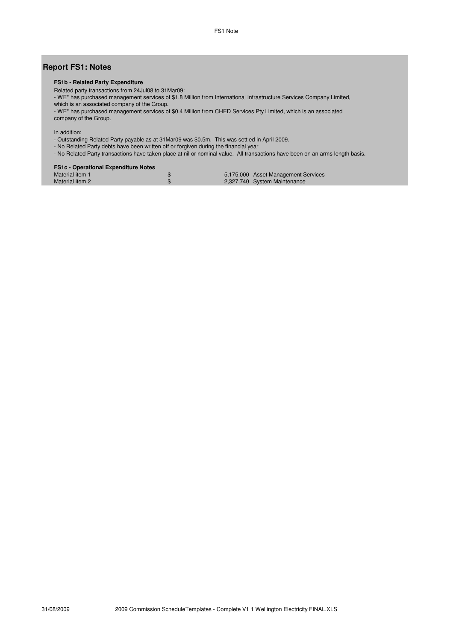# **Report FS1: Notes**

### **FS1b - Related Party Expenditure**

Related party transactions from 24Jul08 to 31Mar09:

- WE\* has purchased management services of \$1.8 Million from International Infrastructure Services Company Limited,
- which is an associated company of the Group.
- WE\* has purchased management services of \$0.4 Million from CHED Services Pty Limited, which is an associated company of the Group.

In addition:

- Outstanding Related Party payable as at 31Mar09 was \$0.5m. This was settled in April 2009.
- No Related Party debts have been written off or forgiven during the financial year
- No Related Party transactions have taken place at nil or nominal value. All transactions have been on an arms length basis.

#### **FS1c - Operational Expenditure Notes**

| Material item 1 |  | 5,175,000 Asset Management Services |
|-----------------|--|-------------------------------------|
| Material item 2 |  | 2,327,740 System Maintenance        |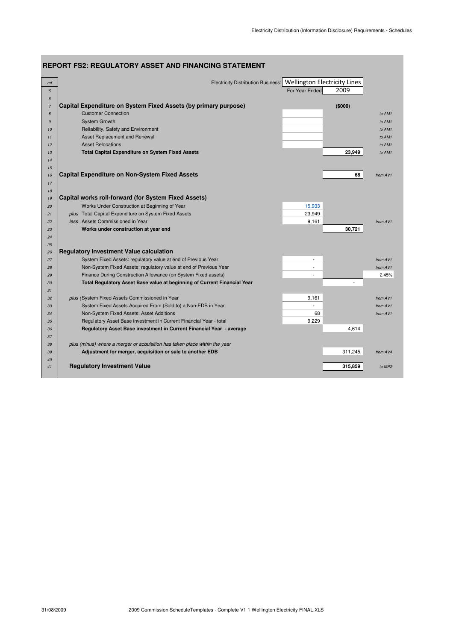|                | <b>REPORT FS2: REGULATORY ASSET AND FINANCING STATEMENT</b>                |                              |         |          |
|----------------|----------------------------------------------------------------------------|------------------------------|---------|----------|
| ref            | <b>Electricity Distribution Business:</b>                                  | Wellington Electricity Lines |         |          |
| 5              |                                                                            | For Year Ended               | 2009    |          |
| 6              |                                                                            |                              |         |          |
| $\overline{7}$ | Capital Expenditure on System Fixed Assets (by primary purpose)            |                              | (\$000) |          |
| 8              | <b>Customer Connection</b>                                                 |                              |         | to AM1   |
| 9              | <b>System Growth</b>                                                       |                              |         | to AM1   |
| 10             | Reliability, Safety and Environment                                        |                              |         | to AM1   |
| 11             | Asset Replacement and Renewal                                              |                              |         | to AM1   |
| 12             | <b>Asset Relocations</b>                                                   |                              |         | to AM1   |
| 13             | <b>Total Capital Expenditure on System Fixed Assets</b>                    |                              | 23,949  | to AM1   |
| 14             |                                                                            |                              |         |          |
| 15             |                                                                            |                              |         |          |
| 16             | <b>Capital Expenditure on Non-System Fixed Assets</b>                      |                              | 68      | from AV1 |
| 17             |                                                                            |                              |         |          |
| 18             |                                                                            |                              |         |          |
| 19             | Capital works roll-forward (for System Fixed Assets)                       |                              |         |          |
| 20             | Works Under Construction at Beginning of Year                              | 15,933                       |         |          |
| 21             | plus Total Capital Expenditure on System Fixed Assets                      | 23,949                       |         |          |
| 22             | less Assets Commissioned in Year                                           | 9,161                        |         | from AV1 |
| 23             | Works under construction at year end                                       |                              | 30,721  |          |
| 24             |                                                                            |                              |         |          |
| 25<br>26       | <b>Regulatory Investment Value calculation</b>                             |                              |         |          |
| 27             | System Fixed Assets: regulatory value at end of Previous Year              | L,                           |         | from AV1 |
| 28             | Non-System Fixed Assets: regulatory value at end of Previous Year          | $\overline{a}$               |         | from AV1 |
| 29             | Finance During Construction Allowance (on System Fixed assets)             | ÷.                           |         | 2.45%    |
| 30             | Total Regulatory Asset Base value at beginning of Current Financial Year   |                              |         |          |
| 31             |                                                                            |                              |         |          |
| 32             | plus <sub>I</sub> System Fixed Assets Commissioned in Year                 | 9,161                        |         | from AV1 |
| 33             | System Fixed Assets Acquired From (Sold to) a Non-EDB in Year              |                              |         | from AV1 |
| 34             | Non-System Fixed Assets: Asset Additions                                   | 68                           |         | from AV1 |
| 35             | Regulatory Asset Base investment in Current Financial Year - total         | 9,229                        |         |          |
| 36             | Regulatory Asset Base investment in Current Financial Year - average       |                              | 4,614   |          |
| 37             |                                                                            |                              |         |          |
| 38             | plus (minus) where a merger or acquisition has taken place within the year |                              |         |          |
| 39             | Adjustment for merger, acquisition or sale to another EDB                  |                              | 311,245 | from AV4 |
| 40             |                                                                            |                              |         |          |
| 41             | <b>Regulatory Investment Value</b>                                         |                              | 315,859 | to MP2   |
|                |                                                                            |                              |         |          |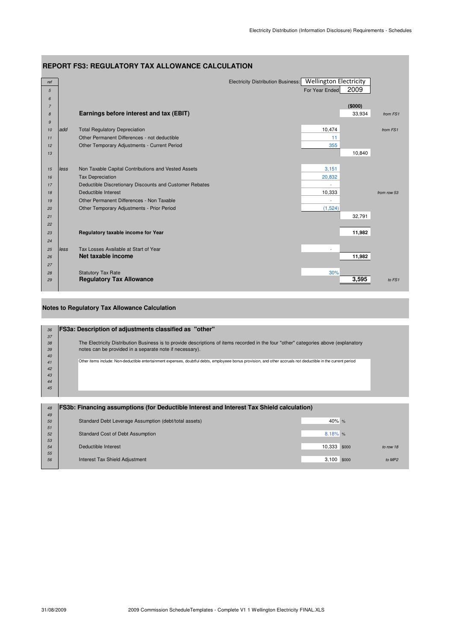

#### **Notes to Regulatory Tax Allowance Calculation**

| 36  | <b>FS3a: Description of adjustments classified as "other"</b>                                                                                                  |  |  |  |  |  |  |  |  |  |
|-----|----------------------------------------------------------------------------------------------------------------------------------------------------------------|--|--|--|--|--|--|--|--|--|
| 37  |                                                                                                                                                                |  |  |  |  |  |  |  |  |  |
| 38  | The Electricity Distribution Business is to provide descriptions of items recorded in the four "other" categories above (explanatory                           |  |  |  |  |  |  |  |  |  |
| 39  | notes can be provided in a separate note if necessary).                                                                                                        |  |  |  |  |  |  |  |  |  |
| 40  |                                                                                                                                                                |  |  |  |  |  |  |  |  |  |
| 41  | Other items include: Non-deductible entertainment expenses, doubtful debts, employeee bonus provision, and other accruals not deductible in the current period |  |  |  |  |  |  |  |  |  |
| 42  |                                                                                                                                                                |  |  |  |  |  |  |  |  |  |
| 43  |                                                                                                                                                                |  |  |  |  |  |  |  |  |  |
| 44  |                                                                                                                                                                |  |  |  |  |  |  |  |  |  |
| 45  |                                                                                                                                                                |  |  |  |  |  |  |  |  |  |
|     |                                                                                                                                                                |  |  |  |  |  |  |  |  |  |
|     |                                                                                                                                                                |  |  |  |  |  |  |  |  |  |
| 48  | (FS3b: Financing assumptions (for Deductible Interest and Interest Tax Shield calculation)                                                                     |  |  |  |  |  |  |  |  |  |
| 49  |                                                                                                                                                                |  |  |  |  |  |  |  |  |  |
| 50  | 40% %<br>Standard Debt Leverage Assumption (debt/total assets)                                                                                                 |  |  |  |  |  |  |  |  |  |
| .51 |                                                                                                                                                                |  |  |  |  |  |  |  |  |  |
| 52  | <b>Standard Cost of Debt Assumption</b><br>$8.18\%$ %                                                                                                          |  |  |  |  |  |  |  |  |  |

54 Deductible Interest **10,333** \$000 to row 18

56 Interest Tax Shield Adjustment 3,100 \$000 to MP2

31/08/2009 2009 Commission ScheduleTemplates - Complete V1 1 Wellington Electricity FINAL.XLS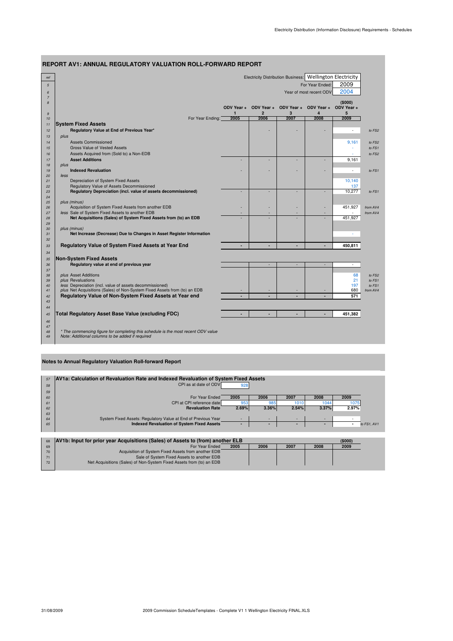| REPORT AV1: ANNUAL REGULATORY VALUATION ROLL-FORWARD REPORT |                                                                                                                                       |      |                |      |                                                                        |                            |                  |  |  |  |
|-------------------------------------------------------------|---------------------------------------------------------------------------------------------------------------------------------------|------|----------------|------|------------------------------------------------------------------------|----------------------------|------------------|--|--|--|
| ref                                                         |                                                                                                                                       |      |                |      | Electricity Distribution Business: Wellington Electricity              |                            |                  |  |  |  |
| 5                                                           |                                                                                                                                       |      |                |      | For Year Ended:                                                        | 2009                       |                  |  |  |  |
| 6                                                           |                                                                                                                                       |      |                |      | Year of most recent ODV                                                | 2004                       |                  |  |  |  |
| $\overline{7}$<br>8<br>$\mathcal{G}$                        |                                                                                                                                       |      | $\overline{2}$ | 3    | ODV Year + ODV Year + ODV Year + ODV Year +<br>$\overline{\mathbf{4}}$ | (\$000)<br>ODV Year +<br>5 |                  |  |  |  |
| 10                                                          | For Year Ending:                                                                                                                      | 2005 | 2006           | 2007 | 2008                                                                   | 2009                       |                  |  |  |  |
| 11                                                          | <b>System Fixed Assets</b>                                                                                                            |      |                |      |                                                                        |                            |                  |  |  |  |
| 12                                                          | Regulatory Value at End of Previous Year*                                                                                             |      |                |      |                                                                        |                            | to FS2           |  |  |  |
| 13                                                          | plus<br><b>Assets Commissioned</b>                                                                                                    |      |                |      |                                                                        | 9,161                      |                  |  |  |  |
| 14<br>15                                                    | <b>Gross Value of Vested Assets</b>                                                                                                   |      |                |      |                                                                        |                            | to FS2<br>to FS1 |  |  |  |
| 16                                                          | Assets Acquired from (Sold to) a Non-EDB                                                                                              |      |                |      |                                                                        | ٠                          | to FS2           |  |  |  |
| 17                                                          | <b>Asset Additions</b>                                                                                                                |      |                |      | ٠                                                                      | 9.161                      |                  |  |  |  |
| 18                                                          | plus                                                                                                                                  |      |                |      |                                                                        |                            |                  |  |  |  |
| 19                                                          | <b>Indexed Revaluation</b>                                                                                                            |      |                |      |                                                                        | ÷                          | to FS1           |  |  |  |
| 20<br>21                                                    | less<br>Depreciation of System Fixed Assets                                                                                           |      |                |      |                                                                        | 10,140                     |                  |  |  |  |
| 22                                                          | Regulatory Value of Assets Decommissioned                                                                                             |      |                |      |                                                                        | 137                        |                  |  |  |  |
| 23                                                          | Regulatory Depreciation (incl. value of assets decommissioned)                                                                        |      |                |      |                                                                        | 10,277                     | to FS1           |  |  |  |
| 24                                                          |                                                                                                                                       |      |                |      |                                                                        |                            |                  |  |  |  |
| 25<br>26                                                    | plus (minus)<br>Acquisition of System Fixed Assets from another EDB                                                                   |      |                |      |                                                                        | 451,927                    | from AV4         |  |  |  |
| 27                                                          | less Sale of System Fixed Assets to another EDB                                                                                       |      |                |      |                                                                        | ÷                          | from $AV4$       |  |  |  |
| 28                                                          | Net Acquisitions (Sales) of System Fixed Assets from (to) an EDB                                                                      |      |                |      |                                                                        | 451.927                    |                  |  |  |  |
| 29                                                          |                                                                                                                                       |      |                |      |                                                                        |                            |                  |  |  |  |
| 30<br>31                                                    | plus (minus)<br>Net Increase (Decrease) Due to Changes in Asset Register Information                                                  |      |                |      |                                                                        |                            |                  |  |  |  |
| 32                                                          |                                                                                                                                       |      |                |      |                                                                        |                            |                  |  |  |  |
| 33                                                          | Regulatory Value of System Fixed Assets at Year End                                                                                   | ٠    |                |      |                                                                        | 450,811                    |                  |  |  |  |
| 34                                                          |                                                                                                                                       |      |                |      |                                                                        |                            |                  |  |  |  |
| 35                                                          | <b>Non-System Fixed Assets</b>                                                                                                        |      |                |      |                                                                        |                            |                  |  |  |  |
| 36                                                          | Regulatory value at end of previous year                                                                                              |      | ×.             | ÷    | ×.                                                                     | ÷.                         |                  |  |  |  |
| 37                                                          |                                                                                                                                       |      |                |      |                                                                        |                            |                  |  |  |  |
| 38<br>39                                                    | plus Asset Additions<br>plus Revaluations                                                                                             |      |                |      |                                                                        | 68<br>21                   | to FS2<br>to FS1 |  |  |  |
| 40                                                          | less Depreciation (incl. value of assets decommissioned)                                                                              |      |                |      |                                                                        | 197                        | to $FS1$         |  |  |  |
| 41                                                          | plus Net Acquisitions (Sales) of Non-System Fixed Assets from (to) an EDB                                                             |      |                |      |                                                                        | 680                        | from AV4         |  |  |  |
| 42                                                          | Regulatory Value of Non-System Fixed Assets at Year end                                                                               |      |                |      | r.                                                                     | 571                        |                  |  |  |  |
| 43<br>44                                                    |                                                                                                                                       |      |                |      |                                                                        |                            |                  |  |  |  |
| 45                                                          | <b>Total Regulatory Asset Base Value (excluding FDC)</b>                                                                              |      |                |      |                                                                        | 451,382                    |                  |  |  |  |
|                                                             |                                                                                                                                       |      |                |      |                                                                        |                            |                  |  |  |  |
| 46<br>47                                                    |                                                                                                                                       |      |                |      |                                                                        |                            |                  |  |  |  |
| 48<br>49                                                    | * The commencing figure for completing this schedule is the most recent ODV value<br>Note: Additional columns to be added if required |      |                |      |                                                                        |                            |                  |  |  |  |

# **Notes to Annual Regulatory Valuation Roll-forward Report**

| 57 | AV1a: Calculation of Revaluation Rate and Indexed Revaluation of System Fixed Assets |       |       |                          |       |                          |             |
|----|--------------------------------------------------------------------------------------|-------|-------|--------------------------|-------|--------------------------|-------------|
| 58 | CPI as at date of ODV                                                                | 928   |       |                          |       |                          |             |
|    |                                                                                      |       |       |                          |       |                          |             |
| 59 |                                                                                      |       |       |                          |       |                          |             |
| 60 | For Year Ended                                                                       | 2005  | 2006  | 2007                     | 2008  | 2009                     |             |
| 61 | CPI at CPI reference date                                                            | 953   | 985   | 101                      | 1044  | 1075                     |             |
| 62 | <b>Revaluation Rate</b>                                                              | 2.69% | 3.36% | 2.54%                    | 3.37% | 2.97%                    |             |
| 63 |                                                                                      |       |       |                          |       |                          |             |
| 64 | System Fixed Assets: Regulatory Value at End of Previous Year                        |       |       | $\overline{\phantom{a}}$ | ۰     | $\overline{\phantom{a}}$ |             |
| 65 | <b>Indexed Revaluation of System Fixed Assets</b>                                    |       |       |                          |       |                          | to FS1, AV1 |
|    |                                                                                      |       |       |                          |       |                          |             |
|    |                                                                                      |       |       |                          |       |                          |             |
| 68 | AV1b: Input for prior year Acquisitions (Sales) of Assets to (from) another ELB      |       |       |                          |       | (\$000)                  |             |
| 69 | For Year Ended                                                                       | 2005  | 2006  | 2007                     | 2008  | 2009                     |             |
| 70 | Acquisition of System Fixed Assets from another EDB                                  |       |       |                          |       |                          |             |
| 71 | Sale of System Fixed Assets to another EDB                                           |       |       |                          |       |                          |             |
| 72 | Net Acquisitions (Sales) of Non-System Fixed Assets from (to) an EDB                 |       |       |                          |       |                          |             |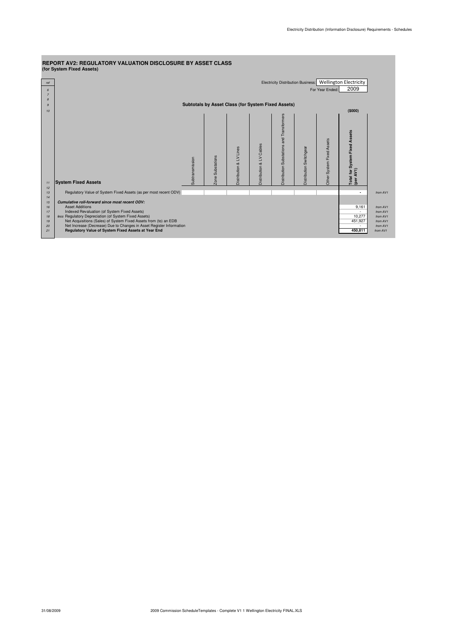|                  | <b>REPORT AV2: REGULATORY VALUATION DISCLOSURE BY ASSET CLASS</b><br>(for System Fixed Assets)                                           |                 |                     |                                                           |                                |                                                              |                         |                              |                                                           |                      |  |  |
|------------------|------------------------------------------------------------------------------------------------------------------------------------------|-----------------|---------------------|-----------------------------------------------------------|--------------------------------|--------------------------------------------------------------|-------------------------|------------------------------|-----------------------------------------------------------|----------------------|--|--|
| ref              |                                                                                                                                          |                 |                     |                                                           |                                |                                                              |                         |                              | Electricity Distribution Business: Wellington Electricity |                      |  |  |
| $6 \overline{6}$ |                                                                                                                                          |                 |                     |                                                           |                                |                                                              |                         | For Year Ended:              | 2009                                                      |                      |  |  |
| $\theta$         |                                                                                                                                          |                 |                     |                                                           |                                |                                                              |                         |                              |                                                           |                      |  |  |
| g                |                                                                                                                                          |                 |                     | <b>Subtotals by Asset Class (for System Fixed Assets)</b> |                                |                                                              |                         |                              |                                                           |                      |  |  |
| 10               |                                                                                                                                          |                 |                     |                                                           |                                |                                                              |                         |                              |                                                           |                      |  |  |
| 11               | <b>System Fixed Assets</b>                                                                                                               | Subtransmission | Substations<br>Zone | LV Lines<br>œ<br>Distribution                             | LV Cables<br>ಜ<br>Distribution | Transformers<br>$\frac{1}{6}$<br>Substations<br>Distribution | Distribution Switchgear | System Fixed Assets<br>Other | Total for System Fixed Assets<br>(per AV1)                |                      |  |  |
| 12<br>13         | Regulatory Value of System Fixed Assets (as per most recent ODV)                                                                         |                 |                     |                                                           |                                |                                                              |                         |                              | ۰                                                         | from AV1             |  |  |
| 14<br>15         | Cumulative roll-forward since most recent ODV:                                                                                           |                 |                     |                                                           |                                |                                                              |                         |                              |                                                           |                      |  |  |
| 16<br>17         | <b>Asset Additions</b><br>Indexed Revaluation (of System Fixed Assets)                                                                   |                 |                     |                                                           |                                |                                                              |                         |                              | 9,161                                                     | from AV1<br>from AV1 |  |  |
| 18               | less Regulatory Depreciation (of System Fixed Assets)                                                                                    |                 |                     |                                                           |                                |                                                              |                         |                              | 10.277                                                    | from AV1             |  |  |
| 19<br>20         | Net Acquisitions (Sales) of System Fixed Assets from (to) an EDB<br>Net Increase (Decrease) Due to Changes in Asset Register Information |                 |                     |                                                           |                                |                                                              |                         |                              | 451,927                                                   | from AV1<br>from AV1 |  |  |
| 21               | Regulatory Value of System Fixed Assets at Year End                                                                                      |                 |                     |                                                           |                                |                                                              |                         |                              | 450,811                                                   | from AV1             |  |  |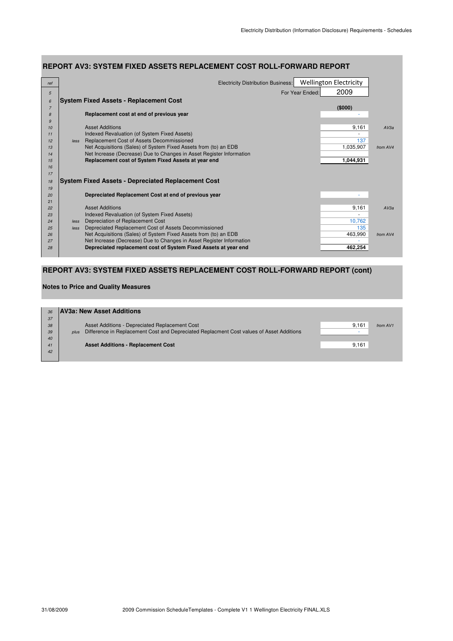#### **REPORT AV3: SYSTEM FIXED ASSETS REPLACEMENT COST ROLL-FORWARD REPORT** ref Electricity Distribution Business:  $\overline{\phantom{a}}$  For Year Ended:  $\overline{\phantom{a}}$  2009 <sup>6</sup> **System Fixed Assets - Replacement Cost** 7 **(\$000)** 8 **Replacement cost at end of previous year** 9 10 Asset Additions **9,161** Asset Additions **9,161** AV3a 11 Indexed Revaluation (of System Fixed Assets) **- Annual Construction Construction Construction** 137 Indexed Assets Decommissioned **- Annual Construction 137** Less Replacement Cost of Assets Decommissioned<br>
Net Acquisitions (Sales) of System Fixed Assets from (to) an EDB<br>
1,035,907 13 Net Acquisitions (Sales) of System Fixed Assets from (to) an EDB 1,035,907 1,035,907 from AV4<br>14 Net Increase (Decrease) Due to Changes in Asset Register Information Net Increase (Decrease) Due to Changes in Asset Register Information 15 **Replacement cost of System Fixed Assets at year end** 1,044,931 16 17 <sup>18</sup> **System Fixed Assets - Depreciated Replacement Cost** 19 20 **Depreciated Replacement Cost at end of previous year** - 21 22 Asset Additions and the control of the control of the control of the control of the control of the control of the control of the control of the control of the control of the control of the control of the control of the 23 Indexed Revaluation (of System Fixed Assets) - 24 less Depreciation of Replacement Cost 10,762 ess Depreciated Replacement Cost of Assets Decommissioned 135 26 Net Acquisitions (Sales) of System Fixed Assets from (to) an EDB 463,990 463,990 from AV4 27 Net Increase (Decrease) Due to Changes in Asset Register Information<br>
28 **Depreciated replacement cost of System Fixed Assets at year end** 462,254 Depreciated replacement cost of System Fixed Assets at year end Wellington Electricity

# **REPORT AV3: SYSTEM FIXED ASSETS REPLACEMENT COST ROLL-FORWARD REPORT (cont)**

# **Notes to Price and Quality Measures**

| 36 | <b>AV3a: New Asset Additions</b>                                                                 |       |          |
|----|--------------------------------------------------------------------------------------------------|-------|----------|
| 37 |                                                                                                  |       |          |
| 38 | Asset Additions - Depreciated Replacement Cost                                                   | 9.161 | from AV1 |
| 39 | Difference in Replacement Cost and Depreciated Replacment Cost values of Asset Additions<br>plus | ٠     |          |
| 40 |                                                                                                  |       |          |
| 41 | <b>Asset Additions - Replacement Cost</b>                                                        | 9,161 |          |
| 42 |                                                                                                  |       |          |
|    |                                                                                                  |       |          |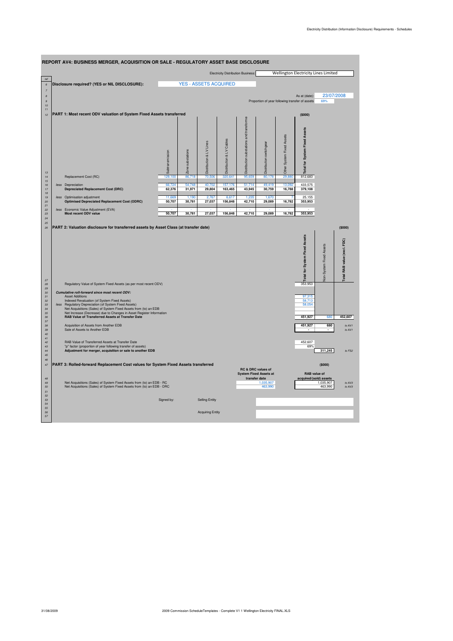| REPORT AV4: BUSINESS MERGER, ACQUISITION OR SALE - REGULATORY ASSET BASE DISCLOSURE |                                                                                                                                                 |                   |                  |                         |                          |                                                |                      |                           |                                                                  |                      |                       |  |
|-------------------------------------------------------------------------------------|-------------------------------------------------------------------------------------------------------------------------------------------------|-------------------|------------------|-------------------------|--------------------------|------------------------------------------------|----------------------|---------------------------|------------------------------------------------------------------|----------------------|-----------------------|--|
|                                                                                     |                                                                                                                                                 |                   |                  |                         |                          | <b>Electricity Distribution Business:</b>      |                      |                           | Wellington Electricity Lines Limited                             |                      |                       |  |
| ref<br>$\epsilon$                                                                   | <b>YES - ASSETS ACQUIRED</b><br>Disclosure required? (YES or NIL DISCLOSURE):                                                                   |                   |                  |                         |                          |                                                |                      |                           |                                                                  |                      |                       |  |
|                                                                                     |                                                                                                                                                 |                   |                  |                         |                          |                                                |                      |                           |                                                                  |                      |                       |  |
| $\boldsymbol{s}$<br>$\overline{g}$                                                  |                                                                                                                                                 |                   |                  |                         |                          |                                                |                      |                           | As at (date):<br>Proportion of year following transfer of assets | 23/07/2008<br>69%    |                       |  |
| 10<br>11                                                                            |                                                                                                                                                 |                   |                  |                         |                          |                                                |                      |                           |                                                                  |                      |                       |  |
| 12                                                                                  | PART 1: Most recent ODV valuation of System Fixed Assets transferred                                                                            |                   |                  |                         |                          |                                                |                      |                           | (\$000)                                                          |                      |                       |  |
|                                                                                     |                                                                                                                                                 |                   |                  |                         |                          | transformer                                    |                      |                           |                                                                  |                      |                       |  |
|                                                                                     |                                                                                                                                                 |                   |                  |                         |                          |                                                |                      |                           |                                                                  |                      |                       |  |
|                                                                                     |                                                                                                                                                 |                   |                  |                         | Distribution & LV Cables | Distribution substations and                   |                      | Other System Fixed Assets | Total for System Fixed Assets                                    |                      |                       |  |
|                                                                                     |                                                                                                                                                 |                   |                  | Distribution & LV Lines |                          |                                                | switchgear           |                           |                                                                  |                      |                       |  |
|                                                                                     |                                                                                                                                                 | Subtransmission   | substations      |                         |                          |                                                | Distribution         |                           |                                                                  |                      |                       |  |
| 13                                                                                  |                                                                                                                                                 |                   | Zone             |                         |                          |                                                |                      |                           |                                                                  |                      |                       |  |
| $\sqrt{14}$<br>15                                                                   | Replacement Cost (RC)<br>less Depreciation                                                                                                      | 129,100<br>66.724 | 86,718<br>54,748 | 70,506<br>40.702        | 320,641<br>157.176       | 95,659<br>51.714                               | 80,178<br>49.419     | 29,880<br>13,092          | 812,683<br>433,575                                               |                      |                       |  |
| 16<br>17<br>18                                                                      | <b>Depreciated Replacement Cost (DRC)</b>                                                                                                       | 62,376            | 31,971           | 29,804                  | 163,465                  | 43,945                                         | 30,759               | 16,788                    | 379,108                                                          |                      |                       |  |
| 19<br>20<br>21                                                                      | less Optimisation adjustment<br><b>Optimised Depreciated Replacement Cost (ODRC)</b>                                                            | 11,669<br>50,707  | 1,190<br>30,781  | 2.767<br>27,037         | 6,617<br>156,848         | 1.235<br>42,710                                | 1.670<br>29,089      | 16,782                    | 25.155<br>353,953                                                |                      |                       |  |
| $\mathfrak{D}$<br>23<br>$\overline{24}$                                             | less Economic Value Adiustment (EVA)<br>Most recent ODV value                                                                                   | 50,707            | 30,781           | 27,037                  | 156,848                  | 42,710                                         | 29,089               | 16,782                    | 353,953                                                          |                      |                       |  |
| 25<br>26                                                                            | PART 2: Valuation disclosure for transferred assets by Asset Class (at transfer date)                                                           |                   |                  |                         |                          |                                                |                      |                           |                                                                  |                      | (\$000)               |  |
|                                                                                     |                                                                                                                                                 |                   |                  |                         |                          |                                                |                      |                           |                                                                  |                      |                       |  |
|                                                                                     |                                                                                                                                                 |                   |                  |                         |                          |                                                |                      |                           | for System Fixed Assets                                          |                      |                       |  |
|                                                                                     |                                                                                                                                                 |                   |                  |                         |                          |                                                |                      |                           |                                                                  |                      |                       |  |
|                                                                                     |                                                                                                                                                 |                   |                  |                         |                          |                                                |                      |                           |                                                                  |                      |                       |  |
|                                                                                     |                                                                                                                                                 |                   |                  |                         |                          |                                                |                      |                           |                                                                  | System Fixed Assets  | RAB value (excl. FDC) |  |
| 27                                                                                  |                                                                                                                                                 |                   |                  |                         |                          |                                                |                      |                           | Total                                                            | Non-                 | <b>Total</b>          |  |
| 28<br>29                                                                            | Regulatory Value of System Fixed Assets (as per most recent ODV)                                                                                |                   |                  |                         |                          |                                                |                      |                           | 353,953                                                          |                      |                       |  |
| 30<br>31<br>32                                                                      | Cumulative roll-forward since most recent ODV:<br><b>Asset Additions</b><br>Indexed Revaluation (of System Fixed Assets)                        |                   |                  |                         |                          |                                                |                      |                           | 97,315<br>58,713                                                 |                      |                       |  |
| 33<br>34                                                                            | Regulatory Depreciation (of System Fixed Assets)<br>less<br>Net Acquisitions (Sales) of System Fixed Assets from (to) an EDB                    |                   |                  |                         |                          |                                                |                      |                           | 58,054                                                           |                      |                       |  |
| 35<br>36                                                                            | Net Increase (Decrease) due to Changes in Asset Register Information<br>RAB Value of Transferred Assets at Transfer Date                        |                   |                  |                         |                          |                                                |                      |                           | 451,927                                                          | 680                  | 452,607               |  |
| 37<br>38                                                                            | Acquisition of Assets from Another EDB                                                                                                          |                   |                  |                         |                          |                                                |                      |                           | 451,927                                                          | 680                  | to AV1                |  |
| 39<br>40                                                                            | Sale of Assets to Another EDB                                                                                                                   |                   |                  |                         |                          |                                                |                      |                           |                                                                  |                      | to AV1                |  |
| 41<br>42                                                                            | RAB Value of Transferred Assets at Transfer Date                                                                                                |                   |                  |                         |                          |                                                |                      |                           | 452,607                                                          |                      |                       |  |
| 43<br>44                                                                            | "p" factor (proportion of year following transfer of assets)<br>Adjustment for merger, acquisition or sale to another EDB                       |                   |                  |                         |                          |                                                |                      |                           | 69%                                                              | 311,245              | to FS2                |  |
| 45<br>46                                                                            |                                                                                                                                                 |                   |                  |                         |                          |                                                |                      |                           |                                                                  |                      |                       |  |
| 47                                                                                  | PART 3: Rolled-forward Replacement Cost values for System Fixed Assets transferred                                                              |                   |                  |                         |                          | RC & DRC values of                             |                      |                           |                                                                  | (\$000)              |                       |  |
| 48                                                                                  |                                                                                                                                                 |                   |                  |                         |                          | <b>System Fixed Assets at</b><br>transfer date |                      |                           | RAB value of<br>acquired/(sold) assets                           |                      |                       |  |
| 49<br>50                                                                            | Net Acquisitions (Sales) of System Fixed Assets from (to) an EDB - RC<br>Net Acquisitions (Sales) of System Fixed Assets from (to) an EDB - DRC |                   |                  |                         |                          |                                                | 1,035,907<br>463,990 |                           |                                                                  | 1,035,907<br>463,990 | to AV3<br>to AV3      |  |
| 51<br>52<br>53                                                                      |                                                                                                                                                 | Signed by:        |                  | <b>Selling Entity</b>   |                          |                                                |                      |                           |                                                                  |                      |                       |  |
| 54<br>55                                                                            |                                                                                                                                                 |                   |                  |                         |                          |                                                |                      |                           |                                                                  |                      |                       |  |
| 56<br>57                                                                            |                                                                                                                                                 |                   |                  | <b>Acquiring Entity</b> |                          |                                                |                      |                           |                                                                  |                      |                       |  |
|                                                                                     |                                                                                                                                                 |                   |                  |                         |                          |                                                |                      |                           |                                                                  |                      |                       |  |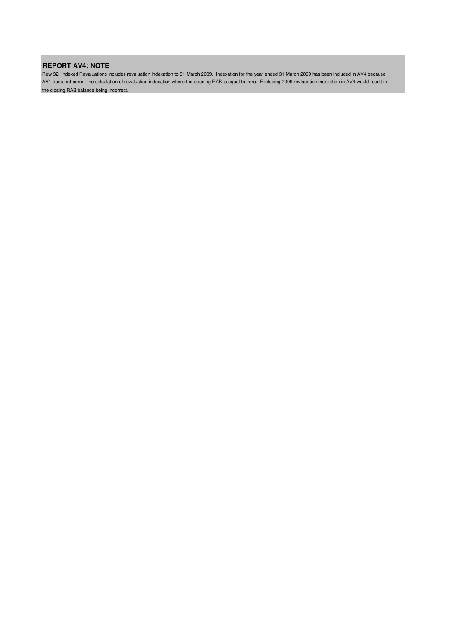# **REPORT AV4: NOTE**

Row 32, Indexed Revaluations includes revaluation indexation to 31 March 2009. Indexation for the year ended 31 March 2009 has been included in AV4 because AV1 does not permit the calculation of revaluation indexation where the opening RAB is equal to zero. Excluding 2009 revlauation indexation in AV4 would result in the closing RAB balance being incorrect.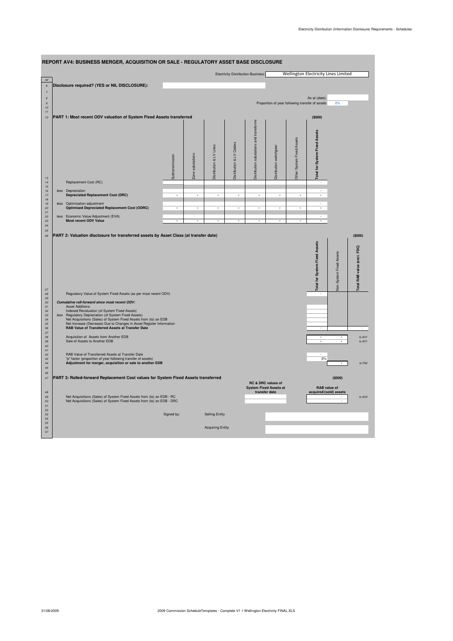|                           | REPORT AV4: BUSINESS MERGER, ACQUISITION OR SALE - REGULATORY ASSET BASE DISCLOSURE                                                             |                 |                  |                         |                          |                                         |                                                |                           |                                                 |                         |                             |  |
|---------------------------|-------------------------------------------------------------------------------------------------------------------------------------------------|-----------------|------------------|-------------------------|--------------------------|-----------------------------------------|------------------------------------------------|---------------------------|-------------------------------------------------|-------------------------|-----------------------------|--|
|                           | <b>Electricity Distribution Business:</b>                                                                                                       |                 |                  |                         |                          |                                         |                                                |                           | Wellington Electricity Lines Limited            |                         |                             |  |
| ref<br>$\epsilon$         | Disclosure required? (YES or NIL DISCLOSURE):                                                                                                   |                 |                  |                         |                          |                                         |                                                |                           |                                                 |                         |                             |  |
| $\overline{7}$<br>$\it 8$ |                                                                                                                                                 |                 |                  |                         |                          |                                         |                                                |                           | As at (date):                                   |                         |                             |  |
| $\overline{g}$<br>10      |                                                                                                                                                 |                 |                  |                         |                          |                                         |                                                |                           | Proportion of year following transfer of assets | 0%                      |                             |  |
| $11\,$<br>12              | PART 1: Most recent ODV valuation of System Fixed Assets transferred                                                                            |                 |                  |                         |                          |                                         |                                                |                           | (\$000)                                         |                         |                             |  |
|                           |                                                                                                                                                 |                 |                  |                         |                          |                                         |                                                |                           |                                                 |                         |                             |  |
|                           |                                                                                                                                                 |                 |                  |                         |                          | Distribution substations and transforme |                                                |                           |                                                 |                         |                             |  |
|                           |                                                                                                                                                 |                 |                  |                         |                          |                                         |                                                | Other System Fixed Assets | otal for System Fixed Assets                    |                         |                             |  |
|                           |                                                                                                                                                 |                 |                  | Distribution & LV Lines | Distribution & LV Cables |                                         | Distribution switchgear                        |                           |                                                 |                         |                             |  |
|                           |                                                                                                                                                 |                 |                  |                         |                          |                                         |                                                |                           |                                                 |                         |                             |  |
|                           |                                                                                                                                                 | Subtransmission | Zone substations |                         |                          |                                         |                                                |                           |                                                 |                         |                             |  |
| $13\,$<br>14              | Replacement Cost (RC)                                                                                                                           |                 |                  |                         |                          |                                         |                                                |                           |                                                 |                         |                             |  |
| 15<br>$16\,$<br>17        | less<br>Depreciation<br><b>Depreciated Replacement Cost (DRC)</b>                                                                               | ٠               |                  |                         | ÷                        |                                         | ÷                                              | ٠                         |                                                 |                         |                             |  |
| $18\,$<br>$\it 19$        | Optimisation adjustment<br>less                                                                                                                 |                 |                  |                         |                          |                                         |                                                |                           |                                                 |                         |                             |  |
| 20<br>21                  | <b>Optimised Depreciated Replacement Cost (ODRC)</b>                                                                                            |                 |                  | $\blacksquare$          | $\overline{\phantom{a}}$ |                                         | ÷                                              | $\overline{\phantom{a}}$  |                                                 |                         |                             |  |
| 22<br>23<br>24            | Economic Value Adjustment (EVA)<br>less<br>Most recent ODV Value                                                                                |                 |                  |                         |                          |                                         |                                                |                           |                                                 |                         |                             |  |
| 25<br>26                  | PART 2: Valuation disclosure for transferred assets by Asset Class (at transfer date)                                                           |                 |                  |                         |                          |                                         |                                                |                           |                                                 |                         | (\$000)                     |  |
|                           |                                                                                                                                                 |                 |                  |                         |                          |                                         |                                                |                           |                                                 |                         |                             |  |
|                           |                                                                                                                                                 |                 |                  |                         |                          |                                         |                                                |                           |                                                 |                         |                             |  |
|                           |                                                                                                                                                 |                 |                  |                         |                          |                                         |                                                |                           |                                                 |                         |                             |  |
|                           |                                                                                                                                                 |                 |                  |                         |                          |                                         |                                                |                           | for System Fixed Assets                         |                         |                             |  |
|                           |                                                                                                                                                 |                 |                  |                         |                          |                                         |                                                |                           |                                                 | Von-System Fixed Assets | Total RAB value (excl. FDC) |  |
| 27<br>$\sqrt{28}$         | Regulatory Value of System Fixed Assets (as per most recent ODV)                                                                                |                 |                  |                         |                          |                                         |                                                |                           | Total                                           |                         |                             |  |
| $\mathfrak{g}$<br>30      | Cumulative roll-forward since most recent ODV:                                                                                                  |                 |                  |                         |                          |                                         |                                                |                           |                                                 |                         |                             |  |
| 31<br>32                  | <b>Asset Additions</b><br>Indexed Revaluation (of System Fixed Assets)<br>Regulatory Depreciation (of System Fixed Assets)<br>less              |                 |                  |                         |                          |                                         |                                                |                           |                                                 |                         |                             |  |
| $33\,$<br>34<br>35        | Net Acquisitions (Sales) of System Fixed Assets from (to) an EDB<br>Net Increase (Decrease) Due to Changes in Asset Register Information        |                 |                  |                         |                          |                                         |                                                |                           |                                                 |                         |                             |  |
| $36\,$<br>37              | RAB Value of Transferred Assets at Transfer Date                                                                                                |                 |                  |                         |                          |                                         |                                                |                           |                                                 |                         |                             |  |
| 38<br>39                  | Acquisition of Assets from Another EDB<br>Sale of Assets to Another EDB                                                                         |                 |                  |                         |                          |                                         |                                                |                           | $\overline{\phantom{a}}$                        |                         | to AV1<br>to AV1            |  |
| 40<br>41<br>42            | RAB Value of Transferred Assets at Transfer Date                                                                                                |                 |                  |                         |                          |                                         |                                                |                           |                                                 |                         |                             |  |
| $43\,$<br>44              | "p" factor (proportion of year following transfer of assets)<br>Adjustment for merger, acquisition or sale to another EDB                       |                 |                  |                         |                          |                                         |                                                |                           | 0%                                              |                         | to FS2                      |  |
| 45<br>46                  |                                                                                                                                                 |                 |                  |                         |                          |                                         |                                                |                           |                                                 |                         |                             |  |
| $47\,$                    | PART 3: Rolled-forward Replacement Cost values for System Fixed Assets transferred                                                              |                 |                  |                         |                          |                                         | RC & DRC values of                             |                           |                                                 | (\$000)                 |                             |  |
| $\sqrt{48}$               |                                                                                                                                                 |                 |                  |                         |                          |                                         | <b>System Fixed Assets at</b><br>transfer date |                           | <b>RAB</b> value of<br>acquired/(sold) assets   |                         |                             |  |
| 49<br>$50\,$              | Net Acquisitions (Sales) of System Fixed Assets from (to) an EDB - RC<br>Net Acquisitions (Sales) of System Fixed Assets from (to) an EDB - DRC |                 |                  |                         |                          |                                         |                                                |                           |                                                 |                         | to AV3                      |  |
| $51\,$<br>$52\,$          |                                                                                                                                                 |                 |                  |                         |                          |                                         |                                                |                           |                                                 |                         |                             |  |
| 53<br>54<br>55            |                                                                                                                                                 | Signed by:      |                  | <b>Selling Entity</b>   |                          |                                         |                                                |                           |                                                 |                         |                             |  |
| 56<br>57                  |                                                                                                                                                 |                 |                  | <b>Acquiring Entity</b> |                          |                                         |                                                |                           |                                                 |                         |                             |  |
|                           |                                                                                                                                                 |                 |                  |                         |                          |                                         |                                                |                           |                                                 |                         |                             |  |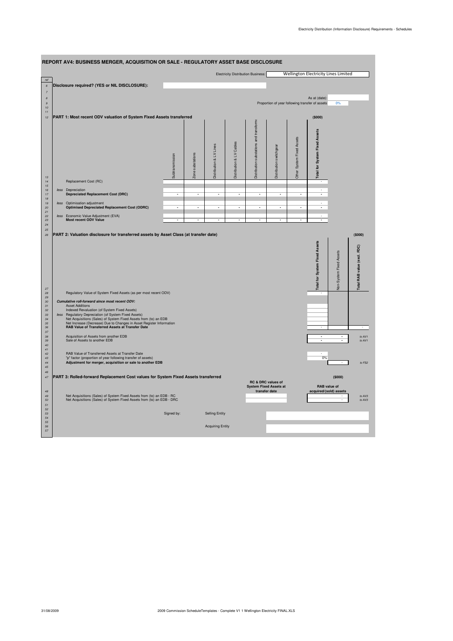|                                                                  | REPORT AV4: BUSINESS MERGER, ACQUISITION OR SALE - REGULATORY ASSET BASE DISCLOSURE                                                                                                                                                                                                                                                                                                                                                                      |                 |                  |                         |                          |                                            |                                                                      |                           |                                                 |                                |                                       |
|------------------------------------------------------------------|----------------------------------------------------------------------------------------------------------------------------------------------------------------------------------------------------------------------------------------------------------------------------------------------------------------------------------------------------------------------------------------------------------------------------------------------------------|-----------------|------------------|-------------------------|--------------------------|--------------------------------------------|----------------------------------------------------------------------|---------------------------|-------------------------------------------------|--------------------------------|---------------------------------------|
|                                                                  |                                                                                                                                                                                                                                                                                                                                                                                                                                                          |                 |                  |                         |                          | <b>Electricity Distribution Business:</b>  |                                                                      |                           | Wellington Electricity Lines Limited            |                                |                                       |
| $\it ref$<br>$\epsilon$                                          | Disclosure required? (YES or NIL DISCLOSURE):                                                                                                                                                                                                                                                                                                                                                                                                            |                 |                  |                         |                          |                                            |                                                                      |                           |                                                 |                                |                                       |
| $\overline{z}$<br>$\it 8$                                        |                                                                                                                                                                                                                                                                                                                                                                                                                                                          |                 |                  |                         |                          |                                            |                                                                      |                           | As at (date):                                   |                                |                                       |
| $\boldsymbol{g}$<br>10                                           |                                                                                                                                                                                                                                                                                                                                                                                                                                                          |                 |                  |                         |                          |                                            |                                                                      |                           | Proportion of year following transfer of assets | 0%                             |                                       |
| 11<br>12                                                         | PART 1: Most recent ODV valuation of System Fixed Assets transferred                                                                                                                                                                                                                                                                                                                                                                                     |                 |                  |                         |                          |                                            |                                                                      |                           | (\$000)                                         |                                |                                       |
| 13                                                               |                                                                                                                                                                                                                                                                                                                                                                                                                                                          | Subtransmission | Zone substations | Distribution & LV Lines | Distribution & LV Cables | transforme<br>Distribution substations and | Distribution switchgear                                              | Other System Fixed Assets | Total for System Fixed Assets                   |                                |                                       |
| $^{\rm 14}$<br>15<br>16                                          | Replacement Cost (RC)<br>less Depreciation                                                                                                                                                                                                                                                                                                                                                                                                               |                 |                  |                         |                          |                                            |                                                                      |                           |                                                 |                                |                                       |
| $17\,$<br>18                                                     | <b>Depreciated Replacement Cost (DRC)</b>                                                                                                                                                                                                                                                                                                                                                                                                                |                 |                  |                         |                          |                                            |                                                                      |                           |                                                 |                                |                                       |
| 19<br>20<br>21                                                   | less Optimisation adjustment<br><b>Optimised Depreciated Replacement Cost (ODRC)</b>                                                                                                                                                                                                                                                                                                                                                                     |                 |                  |                         |                          |                                            |                                                                      |                           |                                                 |                                |                                       |
| 22<br>23<br>24                                                   | less Economic Value Adjustment (EVA)<br>Most recent ODV Value                                                                                                                                                                                                                                                                                                                                                                                            |                 |                  |                         |                          |                                            |                                                                      |                           |                                                 |                                |                                       |
| 26                                                               | PART 2: Valuation disclosure for transferred assets by Asset Class (at transfer date)                                                                                                                                                                                                                                                                                                                                                                    |                 |                  |                         |                          |                                            |                                                                      |                           | <b>System Fixed Assets</b><br>Įã                | <b>Jon-System Fixed Assets</b> | (\$000)<br>otal RAB value (excl. FDC) |
| 27<br>28<br>29<br>30<br>$31\,$<br>32<br>$33\,$<br>34<br>35<br>36 | Regulatory Value of System Fixed Assets (as per most recent ODV)<br>Cumulative roll-forward since most recent ODV:<br><b>Asset Additions</b><br>Indexed Revaluation (of System Fixed Assets)<br>Regulatory Depreciation (of System Fixed Assets)<br>less<br>Net Acquisitions (Sales) of System Fixed Assets from (to) an EDB<br>Net Increase (Decrease) Due to Changes in Asset Register Information<br>RAB Value of Transferred Assets at Transfer Date |                 |                  |                         |                          |                                            |                                                                      |                           | Total                                           |                                |                                       |
| 37<br>$_{38}$<br>39<br>${\bf 40}$<br>41                          | Acquisition of Assets from another EDB<br>Sale of Assets to another EDB                                                                                                                                                                                                                                                                                                                                                                                  |                 |                  |                         |                          |                                            |                                                                      |                           |                                                 |                                | to $AV1$<br>to AV1                    |
| 42<br>43<br>44<br>45<br>46                                       | RAB Value of Transferred Assets at Transfer Date<br>"p" factor (proportion of year following transfer of assets)<br>Adjustment for merger, acquisition or sale to another EDB                                                                                                                                                                                                                                                                            |                 |                  |                         |                          |                                            |                                                                      |                           | 0%                                              |                                | to FS2                                |
| 47<br>$\sqrt{48}$                                                | PART 3: Rolled-forward Replacement Cost values for System Fixed Assets transferred                                                                                                                                                                                                                                                                                                                                                                       |                 |                  |                         |                          |                                            | RC & DRC values of<br><b>System Fixed Assets at</b><br>transfer date |                           | <b>RAB</b> value of<br>acquired/(sold) assets   | (\$000)                        |                                       |
| 49<br>50<br>51<br>52                                             | Net Acquisitions (Sales) of System Fixed Assets from (to) an EDB - RC<br>Net Acquisitions (Sales) of System Fixed Assets from (to) an EDB - DRC                                                                                                                                                                                                                                                                                                          |                 |                  |                         |                          |                                            |                                                                      |                           |                                                 |                                | to AV3<br>to AV3                      |
| 53<br>54                                                         |                                                                                                                                                                                                                                                                                                                                                                                                                                                          | Signed by:      |                  | <b>Selling Entity</b>   |                          |                                            |                                                                      |                           |                                                 |                                |                                       |
| 55<br>56<br>57                                                   |                                                                                                                                                                                                                                                                                                                                                                                                                                                          |                 |                  | <b>Acquiring Entity</b> |                          |                                            |                                                                      |                           |                                                 |                                |                                       |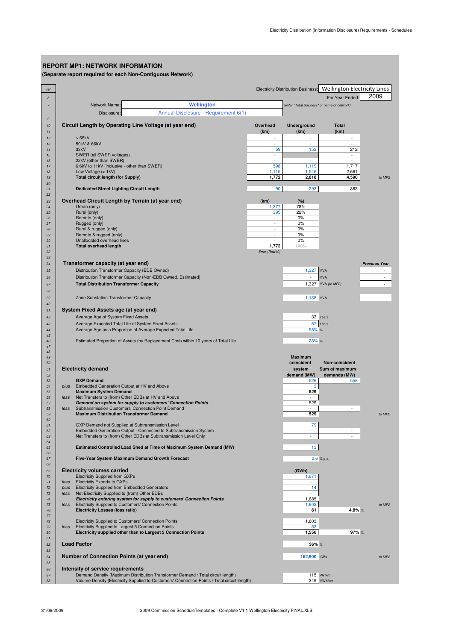| Electricity Distribution Business: Wellington Electricity Lines<br><b>Wellington</b><br>Network Name:<br>(enter "Total Business" or name of network)<br>Annual Disclosure - Requirement 6(1)<br>Disclosure:<br>Circuit Length by Operating Line Voltage (at year end)<br>Overhead<br>Underground<br>(km)<br>(km)<br>> 66kV<br>$\sim$<br>50kV & 66kV<br>$\omega$<br>$\overline{\phantom{a}}$<br>59<br>153<br>33kV<br>SWER (all SWER voltages)<br>$\sim$<br>22kV (other than SWER)<br>×<br>$\sim$<br>6.6kV to 11kV (inclusive - other than SWER)<br>598<br>1,119<br>Low Voltage (< 1kV)<br>1,115<br>1,546<br><b>Total circuit length (for Supply)</b><br>1,772<br>2,818<br><b>Dedicated Street Lighting Circuit Length</b><br>90<br>293<br>Overhead Circuit Length by Terrain (at year end)<br>(km)<br>(%)<br>Urban (only)<br>1,377<br>78%<br>Rural (only)<br>395<br>22%<br>Remote (only)<br>0%<br>$\sim$<br>Rugged (only)<br>0%<br>$\omega$<br>0%<br>Rural & rugged (only)<br>$\overline{\phantom{a}}$<br>0%<br>Remote & rugged (only)<br>$\bar{\phantom{a}}$<br>Unallocated overhead lines<br>0%<br><b>Total overhead length</b><br>1,772<br>100%<br>Error (Row19)<br>Transformer capacity (at year end)<br>Distribution Transformer Capacity (EDB Owned)<br>1,327<br><b>MVA</b><br>Distribution Transformer Capacity (Non-EDB Owned, Estimated)<br><b>MVA</b><br><b>Total Distribution Transformer Capacity</b><br>1,327 MVA (to MP2)<br>Zone Substation Transformer Capacity<br>1,138 MVA<br>System Fixed Assets age (at year end)<br>Average Age of System Fixed Assets<br>33<br>Years<br>57<br>Average Expected Total Life of System Fixed Assets<br>Years<br>Average Age as a Proportion of Average Expected Total Life<br>58% %<br>Estimated Proportion of Assets (by Replacement Cost) within 10 years of Total Life<br>28% %<br><b>Maximum</b><br>coincident<br><b>Electricity demand</b><br>system<br>demand (MW)<br><b>GXP Demand</b><br>526<br>plus Embedded Generation Output at HV and Above<br>3<br><b>Maximum System Demand</b><br>529<br>Net Transfers to (from) Other EDBs at HV and Above<br>less<br>×.<br>Demand on system for supply to customers' Connection Points<br>529<br>Subtransmission Customers' Connection Point Demand<br>less<br>529<br><b>Maximum Distribution Transformer Demand</b><br>GXP Demand not Supplied at Subtransmission Level<br>79<br>Embedded Generation Output - Connected to Subtransmission System<br>$\sim$<br>Net Transfers to (from) Other EDBs at Subtransmission Level Only<br>à.<br><b>Estimated Controlled Load Shed at Time of Maximum System Demand (MW)</b><br>13<br>Five-Year System Maximum Demand Growth Forecast<br>$0.6$ % p.a.<br><b>Electricity volumes carried</b><br>(GWh)<br><b>Electricity Supplied from GXPs</b><br>1,671<br><b>Electricity Exports to GXPs</b><br>less<br><b>Electricity Supplied from Embedded Generators</b><br>14<br>plus<br>Net Electricity Supplied to (from) Other EDBs<br>less<br>$\sim$<br>Electricity entering system for supply to customers' Connection Points<br>1,685<br>less Electricity Supplied to Customers' Connection Points<br>1,603<br><b>Electricity Losses (loss ratio)</b><br>81<br>Electricity Supplied to Customers' Connection Points<br>1,603<br>Electricity Supplied to Largest 5 Connection Points<br>53<br>less<br>Electricity supplied other than to Largest 5 Connection Points<br>1,550<br><b>Load Factor</b><br>36%%<br><b>Number of Connection Points (at year end)</b><br>162,900 ICPs |                                    |                      |
|----------------------------------------------------------------------------------------------------------------------------------------------------------------------------------------------------------------------------------------------------------------------------------------------------------------------------------------------------------------------------------------------------------------------------------------------------------------------------------------------------------------------------------------------------------------------------------------------------------------------------------------------------------------------------------------------------------------------------------------------------------------------------------------------------------------------------------------------------------------------------------------------------------------------------------------------------------------------------------------------------------------------------------------------------------------------------------------------------------------------------------------------------------------------------------------------------------------------------------------------------------------------------------------------------------------------------------------------------------------------------------------------------------------------------------------------------------------------------------------------------------------------------------------------------------------------------------------------------------------------------------------------------------------------------------------------------------------------------------------------------------------------------------------------------------------------------------------------------------------------------------------------------------------------------------------------------------------------------------------------------------------------------------------------------------------------------------------------------------------------------------------------------------------------------------------------------------------------------------------------------------------------------------------------------------------------------------------------------------------------------------------------------------------------------------------------------------------------------------------------------------------------------------------------------------------------------------------------------------------------------------------------------------------------------------------------------------------------------------------------------------------------------------------------------------------------------------------------------------------------------------------------------------------------------------------------------------------------------------------------------------------------------------------------------------------------------------------------------------------------------------------------------------------------------------------------------------------------------------------------------------------------------------------------------------------------------------------------------------------------------------------------------------------------------------------------------------------------------------------------------------------------|------------------------------------|----------------------|
|                                                                                                                                                                                                                                                                                                                                                                                                                                                                                                                                                                                                                                                                                                                                                                                                                                                                                                                                                                                                                                                                                                                                                                                                                                                                                                                                                                                                                                                                                                                                                                                                                                                                                                                                                                                                                                                                                                                                                                                                                                                                                                                                                                                                                                                                                                                                                                                                                                                                                                                                                                                                                                                                                                                                                                                                                                                                                                                                                                                                                                                                                                                                                                                                                                                                                                                                                                                                                                                                                                                      | For Year Ended:                    | 2009                 |
|                                                                                                                                                                                                                                                                                                                                                                                                                                                                                                                                                                                                                                                                                                                                                                                                                                                                                                                                                                                                                                                                                                                                                                                                                                                                                                                                                                                                                                                                                                                                                                                                                                                                                                                                                                                                                                                                                                                                                                                                                                                                                                                                                                                                                                                                                                                                                                                                                                                                                                                                                                                                                                                                                                                                                                                                                                                                                                                                                                                                                                                                                                                                                                                                                                                                                                                                                                                                                                                                                                                      |                                    |                      |
|                                                                                                                                                                                                                                                                                                                                                                                                                                                                                                                                                                                                                                                                                                                                                                                                                                                                                                                                                                                                                                                                                                                                                                                                                                                                                                                                                                                                                                                                                                                                                                                                                                                                                                                                                                                                                                                                                                                                                                                                                                                                                                                                                                                                                                                                                                                                                                                                                                                                                                                                                                                                                                                                                                                                                                                                                                                                                                                                                                                                                                                                                                                                                                                                                                                                                                                                                                                                                                                                                                                      |                                    |                      |
|                                                                                                                                                                                                                                                                                                                                                                                                                                                                                                                                                                                                                                                                                                                                                                                                                                                                                                                                                                                                                                                                                                                                                                                                                                                                                                                                                                                                                                                                                                                                                                                                                                                                                                                                                                                                                                                                                                                                                                                                                                                                                                                                                                                                                                                                                                                                                                                                                                                                                                                                                                                                                                                                                                                                                                                                                                                                                                                                                                                                                                                                                                                                                                                                                                                                                                                                                                                                                                                                                                                      | <b>Total</b>                       |                      |
|                                                                                                                                                                                                                                                                                                                                                                                                                                                                                                                                                                                                                                                                                                                                                                                                                                                                                                                                                                                                                                                                                                                                                                                                                                                                                                                                                                                                                                                                                                                                                                                                                                                                                                                                                                                                                                                                                                                                                                                                                                                                                                                                                                                                                                                                                                                                                                                                                                                                                                                                                                                                                                                                                                                                                                                                                                                                                                                                                                                                                                                                                                                                                                                                                                                                                                                                                                                                                                                                                                                      | (km)<br>$\sim$                     |                      |
|                                                                                                                                                                                                                                                                                                                                                                                                                                                                                                                                                                                                                                                                                                                                                                                                                                                                                                                                                                                                                                                                                                                                                                                                                                                                                                                                                                                                                                                                                                                                                                                                                                                                                                                                                                                                                                                                                                                                                                                                                                                                                                                                                                                                                                                                                                                                                                                                                                                                                                                                                                                                                                                                                                                                                                                                                                                                                                                                                                                                                                                                                                                                                                                                                                                                                                                                                                                                                                                                                                                      | $\sim$                             |                      |
|                                                                                                                                                                                                                                                                                                                                                                                                                                                                                                                                                                                                                                                                                                                                                                                                                                                                                                                                                                                                                                                                                                                                                                                                                                                                                                                                                                                                                                                                                                                                                                                                                                                                                                                                                                                                                                                                                                                                                                                                                                                                                                                                                                                                                                                                                                                                                                                                                                                                                                                                                                                                                                                                                                                                                                                                                                                                                                                                                                                                                                                                                                                                                                                                                                                                                                                                                                                                                                                                                                                      | 212                                |                      |
|                                                                                                                                                                                                                                                                                                                                                                                                                                                                                                                                                                                                                                                                                                                                                                                                                                                                                                                                                                                                                                                                                                                                                                                                                                                                                                                                                                                                                                                                                                                                                                                                                                                                                                                                                                                                                                                                                                                                                                                                                                                                                                                                                                                                                                                                                                                                                                                                                                                                                                                                                                                                                                                                                                                                                                                                                                                                                                                                                                                                                                                                                                                                                                                                                                                                                                                                                                                                                                                                                                                      | $\overline{\phantom{a}}$<br>$\sim$ |                      |
|                                                                                                                                                                                                                                                                                                                                                                                                                                                                                                                                                                                                                                                                                                                                                                                                                                                                                                                                                                                                                                                                                                                                                                                                                                                                                                                                                                                                                                                                                                                                                                                                                                                                                                                                                                                                                                                                                                                                                                                                                                                                                                                                                                                                                                                                                                                                                                                                                                                                                                                                                                                                                                                                                                                                                                                                                                                                                                                                                                                                                                                                                                                                                                                                                                                                                                                                                                                                                                                                                                                      | 1,717                              |                      |
|                                                                                                                                                                                                                                                                                                                                                                                                                                                                                                                                                                                                                                                                                                                                                                                                                                                                                                                                                                                                                                                                                                                                                                                                                                                                                                                                                                                                                                                                                                                                                                                                                                                                                                                                                                                                                                                                                                                                                                                                                                                                                                                                                                                                                                                                                                                                                                                                                                                                                                                                                                                                                                                                                                                                                                                                                                                                                                                                                                                                                                                                                                                                                                                                                                                                                                                                                                                                                                                                                                                      | 2,661                              |                      |
|                                                                                                                                                                                                                                                                                                                                                                                                                                                                                                                                                                                                                                                                                                                                                                                                                                                                                                                                                                                                                                                                                                                                                                                                                                                                                                                                                                                                                                                                                                                                                                                                                                                                                                                                                                                                                                                                                                                                                                                                                                                                                                                                                                                                                                                                                                                                                                                                                                                                                                                                                                                                                                                                                                                                                                                                                                                                                                                                                                                                                                                                                                                                                                                                                                                                                                                                                                                                                                                                                                                      | 4,590                              |                      |
|                                                                                                                                                                                                                                                                                                                                                                                                                                                                                                                                                                                                                                                                                                                                                                                                                                                                                                                                                                                                                                                                                                                                                                                                                                                                                                                                                                                                                                                                                                                                                                                                                                                                                                                                                                                                                                                                                                                                                                                                                                                                                                                                                                                                                                                                                                                                                                                                                                                                                                                                                                                                                                                                                                                                                                                                                                                                                                                                                                                                                                                                                                                                                                                                                                                                                                                                                                                                                                                                                                                      | 383                                |                      |
|                                                                                                                                                                                                                                                                                                                                                                                                                                                                                                                                                                                                                                                                                                                                                                                                                                                                                                                                                                                                                                                                                                                                                                                                                                                                                                                                                                                                                                                                                                                                                                                                                                                                                                                                                                                                                                                                                                                                                                                                                                                                                                                                                                                                                                                                                                                                                                                                                                                                                                                                                                                                                                                                                                                                                                                                                                                                                                                                                                                                                                                                                                                                                                                                                                                                                                                                                                                                                                                                                                                      |                                    |                      |
|                                                                                                                                                                                                                                                                                                                                                                                                                                                                                                                                                                                                                                                                                                                                                                                                                                                                                                                                                                                                                                                                                                                                                                                                                                                                                                                                                                                                                                                                                                                                                                                                                                                                                                                                                                                                                                                                                                                                                                                                                                                                                                                                                                                                                                                                                                                                                                                                                                                                                                                                                                                                                                                                                                                                                                                                                                                                                                                                                                                                                                                                                                                                                                                                                                                                                                                                                                                                                                                                                                                      |                                    |                      |
|                                                                                                                                                                                                                                                                                                                                                                                                                                                                                                                                                                                                                                                                                                                                                                                                                                                                                                                                                                                                                                                                                                                                                                                                                                                                                                                                                                                                                                                                                                                                                                                                                                                                                                                                                                                                                                                                                                                                                                                                                                                                                                                                                                                                                                                                                                                                                                                                                                                                                                                                                                                                                                                                                                                                                                                                                                                                                                                                                                                                                                                                                                                                                                                                                                                                                                                                                                                                                                                                                                                      |                                    |                      |
|                                                                                                                                                                                                                                                                                                                                                                                                                                                                                                                                                                                                                                                                                                                                                                                                                                                                                                                                                                                                                                                                                                                                                                                                                                                                                                                                                                                                                                                                                                                                                                                                                                                                                                                                                                                                                                                                                                                                                                                                                                                                                                                                                                                                                                                                                                                                                                                                                                                                                                                                                                                                                                                                                                                                                                                                                                                                                                                                                                                                                                                                                                                                                                                                                                                                                                                                                                                                                                                                                                                      |                                    |                      |
|                                                                                                                                                                                                                                                                                                                                                                                                                                                                                                                                                                                                                                                                                                                                                                                                                                                                                                                                                                                                                                                                                                                                                                                                                                                                                                                                                                                                                                                                                                                                                                                                                                                                                                                                                                                                                                                                                                                                                                                                                                                                                                                                                                                                                                                                                                                                                                                                                                                                                                                                                                                                                                                                                                                                                                                                                                                                                                                                                                                                                                                                                                                                                                                                                                                                                                                                                                                                                                                                                                                      |                                    |                      |
|                                                                                                                                                                                                                                                                                                                                                                                                                                                                                                                                                                                                                                                                                                                                                                                                                                                                                                                                                                                                                                                                                                                                                                                                                                                                                                                                                                                                                                                                                                                                                                                                                                                                                                                                                                                                                                                                                                                                                                                                                                                                                                                                                                                                                                                                                                                                                                                                                                                                                                                                                                                                                                                                                                                                                                                                                                                                                                                                                                                                                                                                                                                                                                                                                                                                                                                                                                                                                                                                                                                      |                                    |                      |
|                                                                                                                                                                                                                                                                                                                                                                                                                                                                                                                                                                                                                                                                                                                                                                                                                                                                                                                                                                                                                                                                                                                                                                                                                                                                                                                                                                                                                                                                                                                                                                                                                                                                                                                                                                                                                                                                                                                                                                                                                                                                                                                                                                                                                                                                                                                                                                                                                                                                                                                                                                                                                                                                                                                                                                                                                                                                                                                                                                                                                                                                                                                                                                                                                                                                                                                                                                                                                                                                                                                      |                                    |                      |
|                                                                                                                                                                                                                                                                                                                                                                                                                                                                                                                                                                                                                                                                                                                                                                                                                                                                                                                                                                                                                                                                                                                                                                                                                                                                                                                                                                                                                                                                                                                                                                                                                                                                                                                                                                                                                                                                                                                                                                                                                                                                                                                                                                                                                                                                                                                                                                                                                                                                                                                                                                                                                                                                                                                                                                                                                                                                                                                                                                                                                                                                                                                                                                                                                                                                                                                                                                                                                                                                                                                      |                                    |                      |
|                                                                                                                                                                                                                                                                                                                                                                                                                                                                                                                                                                                                                                                                                                                                                                                                                                                                                                                                                                                                                                                                                                                                                                                                                                                                                                                                                                                                                                                                                                                                                                                                                                                                                                                                                                                                                                                                                                                                                                                                                                                                                                                                                                                                                                                                                                                                                                                                                                                                                                                                                                                                                                                                                                                                                                                                                                                                                                                                                                                                                                                                                                                                                                                                                                                                                                                                                                                                                                                                                                                      |                                    | <b>Previous Year</b> |
|                                                                                                                                                                                                                                                                                                                                                                                                                                                                                                                                                                                                                                                                                                                                                                                                                                                                                                                                                                                                                                                                                                                                                                                                                                                                                                                                                                                                                                                                                                                                                                                                                                                                                                                                                                                                                                                                                                                                                                                                                                                                                                                                                                                                                                                                                                                                                                                                                                                                                                                                                                                                                                                                                                                                                                                                                                                                                                                                                                                                                                                                                                                                                                                                                                                                                                                                                                                                                                                                                                                      |                                    |                      |
|                                                                                                                                                                                                                                                                                                                                                                                                                                                                                                                                                                                                                                                                                                                                                                                                                                                                                                                                                                                                                                                                                                                                                                                                                                                                                                                                                                                                                                                                                                                                                                                                                                                                                                                                                                                                                                                                                                                                                                                                                                                                                                                                                                                                                                                                                                                                                                                                                                                                                                                                                                                                                                                                                                                                                                                                                                                                                                                                                                                                                                                                                                                                                                                                                                                                                                                                                                                                                                                                                                                      |                                    |                      |
|                                                                                                                                                                                                                                                                                                                                                                                                                                                                                                                                                                                                                                                                                                                                                                                                                                                                                                                                                                                                                                                                                                                                                                                                                                                                                                                                                                                                                                                                                                                                                                                                                                                                                                                                                                                                                                                                                                                                                                                                                                                                                                                                                                                                                                                                                                                                                                                                                                                                                                                                                                                                                                                                                                                                                                                                                                                                                                                                                                                                                                                                                                                                                                                                                                                                                                                                                                                                                                                                                                                      |                                    |                      |
|                                                                                                                                                                                                                                                                                                                                                                                                                                                                                                                                                                                                                                                                                                                                                                                                                                                                                                                                                                                                                                                                                                                                                                                                                                                                                                                                                                                                                                                                                                                                                                                                                                                                                                                                                                                                                                                                                                                                                                                                                                                                                                                                                                                                                                                                                                                                                                                                                                                                                                                                                                                                                                                                                                                                                                                                                                                                                                                                                                                                                                                                                                                                                                                                                                                                                                                                                                                                                                                                                                                      |                                    |                      |
|                                                                                                                                                                                                                                                                                                                                                                                                                                                                                                                                                                                                                                                                                                                                                                                                                                                                                                                                                                                                                                                                                                                                                                                                                                                                                                                                                                                                                                                                                                                                                                                                                                                                                                                                                                                                                                                                                                                                                                                                                                                                                                                                                                                                                                                                                                                                                                                                                                                                                                                                                                                                                                                                                                                                                                                                                                                                                                                                                                                                                                                                                                                                                                                                                                                                                                                                                                                                                                                                                                                      |                                    |                      |
|                                                                                                                                                                                                                                                                                                                                                                                                                                                                                                                                                                                                                                                                                                                                                                                                                                                                                                                                                                                                                                                                                                                                                                                                                                                                                                                                                                                                                                                                                                                                                                                                                                                                                                                                                                                                                                                                                                                                                                                                                                                                                                                                                                                                                                                                                                                                                                                                                                                                                                                                                                                                                                                                                                                                                                                                                                                                                                                                                                                                                                                                                                                                                                                                                                                                                                                                                                                                                                                                                                                      |                                    |                      |
|                                                                                                                                                                                                                                                                                                                                                                                                                                                                                                                                                                                                                                                                                                                                                                                                                                                                                                                                                                                                                                                                                                                                                                                                                                                                                                                                                                                                                                                                                                                                                                                                                                                                                                                                                                                                                                                                                                                                                                                                                                                                                                                                                                                                                                                                                                                                                                                                                                                                                                                                                                                                                                                                                                                                                                                                                                                                                                                                                                                                                                                                                                                                                                                                                                                                                                                                                                                                                                                                                                                      |                                    |                      |
|                                                                                                                                                                                                                                                                                                                                                                                                                                                                                                                                                                                                                                                                                                                                                                                                                                                                                                                                                                                                                                                                                                                                                                                                                                                                                                                                                                                                                                                                                                                                                                                                                                                                                                                                                                                                                                                                                                                                                                                                                                                                                                                                                                                                                                                                                                                                                                                                                                                                                                                                                                                                                                                                                                                                                                                                                                                                                                                                                                                                                                                                                                                                                                                                                                                                                                                                                                                                                                                                                                                      |                                    |                      |
|                                                                                                                                                                                                                                                                                                                                                                                                                                                                                                                                                                                                                                                                                                                                                                                                                                                                                                                                                                                                                                                                                                                                                                                                                                                                                                                                                                                                                                                                                                                                                                                                                                                                                                                                                                                                                                                                                                                                                                                                                                                                                                                                                                                                                                                                                                                                                                                                                                                                                                                                                                                                                                                                                                                                                                                                                                                                                                                                                                                                                                                                                                                                                                                                                                                                                                                                                                                                                                                                                                                      |                                    |                      |
|                                                                                                                                                                                                                                                                                                                                                                                                                                                                                                                                                                                                                                                                                                                                                                                                                                                                                                                                                                                                                                                                                                                                                                                                                                                                                                                                                                                                                                                                                                                                                                                                                                                                                                                                                                                                                                                                                                                                                                                                                                                                                                                                                                                                                                                                                                                                                                                                                                                                                                                                                                                                                                                                                                                                                                                                                                                                                                                                                                                                                                                                                                                                                                                                                                                                                                                                                                                                                                                                                                                      |                                    |                      |
|                                                                                                                                                                                                                                                                                                                                                                                                                                                                                                                                                                                                                                                                                                                                                                                                                                                                                                                                                                                                                                                                                                                                                                                                                                                                                                                                                                                                                                                                                                                                                                                                                                                                                                                                                                                                                                                                                                                                                                                                                                                                                                                                                                                                                                                                                                                                                                                                                                                                                                                                                                                                                                                                                                                                                                                                                                                                                                                                                                                                                                                                                                                                                                                                                                                                                                                                                                                                                                                                                                                      |                                    |                      |
|                                                                                                                                                                                                                                                                                                                                                                                                                                                                                                                                                                                                                                                                                                                                                                                                                                                                                                                                                                                                                                                                                                                                                                                                                                                                                                                                                                                                                                                                                                                                                                                                                                                                                                                                                                                                                                                                                                                                                                                                                                                                                                                                                                                                                                                                                                                                                                                                                                                                                                                                                                                                                                                                                                                                                                                                                                                                                                                                                                                                                                                                                                                                                                                                                                                                                                                                                                                                                                                                                                                      |                                    |                      |
|                                                                                                                                                                                                                                                                                                                                                                                                                                                                                                                                                                                                                                                                                                                                                                                                                                                                                                                                                                                                                                                                                                                                                                                                                                                                                                                                                                                                                                                                                                                                                                                                                                                                                                                                                                                                                                                                                                                                                                                                                                                                                                                                                                                                                                                                                                                                                                                                                                                                                                                                                                                                                                                                                                                                                                                                                                                                                                                                                                                                                                                                                                                                                                                                                                                                                                                                                                                                                                                                                                                      | Non-coincident                     |                      |
|                                                                                                                                                                                                                                                                                                                                                                                                                                                                                                                                                                                                                                                                                                                                                                                                                                                                                                                                                                                                                                                                                                                                                                                                                                                                                                                                                                                                                                                                                                                                                                                                                                                                                                                                                                                                                                                                                                                                                                                                                                                                                                                                                                                                                                                                                                                                                                                                                                                                                                                                                                                                                                                                                                                                                                                                                                                                                                                                                                                                                                                                                                                                                                                                                                                                                                                                                                                                                                                                                                                      | Sum of maximum                     |                      |
|                                                                                                                                                                                                                                                                                                                                                                                                                                                                                                                                                                                                                                                                                                                                                                                                                                                                                                                                                                                                                                                                                                                                                                                                                                                                                                                                                                                                                                                                                                                                                                                                                                                                                                                                                                                                                                                                                                                                                                                                                                                                                                                                                                                                                                                                                                                                                                                                                                                                                                                                                                                                                                                                                                                                                                                                                                                                                                                                                                                                                                                                                                                                                                                                                                                                                                                                                                                                                                                                                                                      | demands (MW)<br>558                |                      |
|                                                                                                                                                                                                                                                                                                                                                                                                                                                                                                                                                                                                                                                                                                                                                                                                                                                                                                                                                                                                                                                                                                                                                                                                                                                                                                                                                                                                                                                                                                                                                                                                                                                                                                                                                                                                                                                                                                                                                                                                                                                                                                                                                                                                                                                                                                                                                                                                                                                                                                                                                                                                                                                                                                                                                                                                                                                                                                                                                                                                                                                                                                                                                                                                                                                                                                                                                                                                                                                                                                                      |                                    |                      |
|                                                                                                                                                                                                                                                                                                                                                                                                                                                                                                                                                                                                                                                                                                                                                                                                                                                                                                                                                                                                                                                                                                                                                                                                                                                                                                                                                                                                                                                                                                                                                                                                                                                                                                                                                                                                                                                                                                                                                                                                                                                                                                                                                                                                                                                                                                                                                                                                                                                                                                                                                                                                                                                                                                                                                                                                                                                                                                                                                                                                                                                                                                                                                                                                                                                                                                                                                                                                                                                                                                                      |                                    |                      |
|                                                                                                                                                                                                                                                                                                                                                                                                                                                                                                                                                                                                                                                                                                                                                                                                                                                                                                                                                                                                                                                                                                                                                                                                                                                                                                                                                                                                                                                                                                                                                                                                                                                                                                                                                                                                                                                                                                                                                                                                                                                                                                                                                                                                                                                                                                                                                                                                                                                                                                                                                                                                                                                                                                                                                                                                                                                                                                                                                                                                                                                                                                                                                                                                                                                                                                                                                                                                                                                                                                                      |                                    |                      |
|                                                                                                                                                                                                                                                                                                                                                                                                                                                                                                                                                                                                                                                                                                                                                                                                                                                                                                                                                                                                                                                                                                                                                                                                                                                                                                                                                                                                                                                                                                                                                                                                                                                                                                                                                                                                                                                                                                                                                                                                                                                                                                                                                                                                                                                                                                                                                                                                                                                                                                                                                                                                                                                                                                                                                                                                                                                                                                                                                                                                                                                                                                                                                                                                                                                                                                                                                                                                                                                                                                                      |                                    |                      |
|                                                                                                                                                                                                                                                                                                                                                                                                                                                                                                                                                                                                                                                                                                                                                                                                                                                                                                                                                                                                                                                                                                                                                                                                                                                                                                                                                                                                                                                                                                                                                                                                                                                                                                                                                                                                                                                                                                                                                                                                                                                                                                                                                                                                                                                                                                                                                                                                                                                                                                                                                                                                                                                                                                                                                                                                                                                                                                                                                                                                                                                                                                                                                                                                                                                                                                                                                                                                                                                                                                                      |                                    |                      |
|                                                                                                                                                                                                                                                                                                                                                                                                                                                                                                                                                                                                                                                                                                                                                                                                                                                                                                                                                                                                                                                                                                                                                                                                                                                                                                                                                                                                                                                                                                                                                                                                                                                                                                                                                                                                                                                                                                                                                                                                                                                                                                                                                                                                                                                                                                                                                                                                                                                                                                                                                                                                                                                                                                                                                                                                                                                                                                                                                                                                                                                                                                                                                                                                                                                                                                                                                                                                                                                                                                                      |                                    |                      |
|                                                                                                                                                                                                                                                                                                                                                                                                                                                                                                                                                                                                                                                                                                                                                                                                                                                                                                                                                                                                                                                                                                                                                                                                                                                                                                                                                                                                                                                                                                                                                                                                                                                                                                                                                                                                                                                                                                                                                                                                                                                                                                                                                                                                                                                                                                                                                                                                                                                                                                                                                                                                                                                                                                                                                                                                                                                                                                                                                                                                                                                                                                                                                                                                                                                                                                                                                                                                                                                                                                                      | $\sim$                             |                      |
|                                                                                                                                                                                                                                                                                                                                                                                                                                                                                                                                                                                                                                                                                                                                                                                                                                                                                                                                                                                                                                                                                                                                                                                                                                                                                                                                                                                                                                                                                                                                                                                                                                                                                                                                                                                                                                                                                                                                                                                                                                                                                                                                                                                                                                                                                                                                                                                                                                                                                                                                                                                                                                                                                                                                                                                                                                                                                                                                                                                                                                                                                                                                                                                                                                                                                                                                                                                                                                                                                                                      |                                    |                      |
|                                                                                                                                                                                                                                                                                                                                                                                                                                                                                                                                                                                                                                                                                                                                                                                                                                                                                                                                                                                                                                                                                                                                                                                                                                                                                                                                                                                                                                                                                                                                                                                                                                                                                                                                                                                                                                                                                                                                                                                                                                                                                                                                                                                                                                                                                                                                                                                                                                                                                                                                                                                                                                                                                                                                                                                                                                                                                                                                                                                                                                                                                                                                                                                                                                                                                                                                                                                                                                                                                                                      |                                    |                      |
|                                                                                                                                                                                                                                                                                                                                                                                                                                                                                                                                                                                                                                                                                                                                                                                                                                                                                                                                                                                                                                                                                                                                                                                                                                                                                                                                                                                                                                                                                                                                                                                                                                                                                                                                                                                                                                                                                                                                                                                                                                                                                                                                                                                                                                                                                                                                                                                                                                                                                                                                                                                                                                                                                                                                                                                                                                                                                                                                                                                                                                                                                                                                                                                                                                                                                                                                                                                                                                                                                                                      |                                    |                      |
|                                                                                                                                                                                                                                                                                                                                                                                                                                                                                                                                                                                                                                                                                                                                                                                                                                                                                                                                                                                                                                                                                                                                                                                                                                                                                                                                                                                                                                                                                                                                                                                                                                                                                                                                                                                                                                                                                                                                                                                                                                                                                                                                                                                                                                                                                                                                                                                                                                                                                                                                                                                                                                                                                                                                                                                                                                                                                                                                                                                                                                                                                                                                                                                                                                                                                                                                                                                                                                                                                                                      |                                    |                      |
|                                                                                                                                                                                                                                                                                                                                                                                                                                                                                                                                                                                                                                                                                                                                                                                                                                                                                                                                                                                                                                                                                                                                                                                                                                                                                                                                                                                                                                                                                                                                                                                                                                                                                                                                                                                                                                                                                                                                                                                                                                                                                                                                                                                                                                                                                                                                                                                                                                                                                                                                                                                                                                                                                                                                                                                                                                                                                                                                                                                                                                                                                                                                                                                                                                                                                                                                                                                                                                                                                                                      |                                    |                      |
|                                                                                                                                                                                                                                                                                                                                                                                                                                                                                                                                                                                                                                                                                                                                                                                                                                                                                                                                                                                                                                                                                                                                                                                                                                                                                                                                                                                                                                                                                                                                                                                                                                                                                                                                                                                                                                                                                                                                                                                                                                                                                                                                                                                                                                                                                                                                                                                                                                                                                                                                                                                                                                                                                                                                                                                                                                                                                                                                                                                                                                                                                                                                                                                                                                                                                                                                                                                                                                                                                                                      |                                    |                      |
|                                                                                                                                                                                                                                                                                                                                                                                                                                                                                                                                                                                                                                                                                                                                                                                                                                                                                                                                                                                                                                                                                                                                                                                                                                                                                                                                                                                                                                                                                                                                                                                                                                                                                                                                                                                                                                                                                                                                                                                                                                                                                                                                                                                                                                                                                                                                                                                                                                                                                                                                                                                                                                                                                                                                                                                                                                                                                                                                                                                                                                                                                                                                                                                                                                                                                                                                                                                                                                                                                                                      |                                    |                      |
|                                                                                                                                                                                                                                                                                                                                                                                                                                                                                                                                                                                                                                                                                                                                                                                                                                                                                                                                                                                                                                                                                                                                                                                                                                                                                                                                                                                                                                                                                                                                                                                                                                                                                                                                                                                                                                                                                                                                                                                                                                                                                                                                                                                                                                                                                                                                                                                                                                                                                                                                                                                                                                                                                                                                                                                                                                                                                                                                                                                                                                                                                                                                                                                                                                                                                                                                                                                                                                                                                                                      |                                    |                      |
|                                                                                                                                                                                                                                                                                                                                                                                                                                                                                                                                                                                                                                                                                                                                                                                                                                                                                                                                                                                                                                                                                                                                                                                                                                                                                                                                                                                                                                                                                                                                                                                                                                                                                                                                                                                                                                                                                                                                                                                                                                                                                                                                                                                                                                                                                                                                                                                                                                                                                                                                                                                                                                                                                                                                                                                                                                                                                                                                                                                                                                                                                                                                                                                                                                                                                                                                                                                                                                                                                                                      |                                    |                      |
|                                                                                                                                                                                                                                                                                                                                                                                                                                                                                                                                                                                                                                                                                                                                                                                                                                                                                                                                                                                                                                                                                                                                                                                                                                                                                                                                                                                                                                                                                                                                                                                                                                                                                                                                                                                                                                                                                                                                                                                                                                                                                                                                                                                                                                                                                                                                                                                                                                                                                                                                                                                                                                                                                                                                                                                                                                                                                                                                                                                                                                                                                                                                                                                                                                                                                                                                                                                                                                                                                                                      | 4.8%%                              |                      |
|                                                                                                                                                                                                                                                                                                                                                                                                                                                                                                                                                                                                                                                                                                                                                                                                                                                                                                                                                                                                                                                                                                                                                                                                                                                                                                                                                                                                                                                                                                                                                                                                                                                                                                                                                                                                                                                                                                                                                                                                                                                                                                                                                                                                                                                                                                                                                                                                                                                                                                                                                                                                                                                                                                                                                                                                                                                                                                                                                                                                                                                                                                                                                                                                                                                                                                                                                                                                                                                                                                                      |                                    |                      |
|                                                                                                                                                                                                                                                                                                                                                                                                                                                                                                                                                                                                                                                                                                                                                                                                                                                                                                                                                                                                                                                                                                                                                                                                                                                                                                                                                                                                                                                                                                                                                                                                                                                                                                                                                                                                                                                                                                                                                                                                                                                                                                                                                                                                                                                                                                                                                                                                                                                                                                                                                                                                                                                                                                                                                                                                                                                                                                                                                                                                                                                                                                                                                                                                                                                                                                                                                                                                                                                                                                                      |                                    |                      |
|                                                                                                                                                                                                                                                                                                                                                                                                                                                                                                                                                                                                                                                                                                                                                                                                                                                                                                                                                                                                                                                                                                                                                                                                                                                                                                                                                                                                                                                                                                                                                                                                                                                                                                                                                                                                                                                                                                                                                                                                                                                                                                                                                                                                                                                                                                                                                                                                                                                                                                                                                                                                                                                                                                                                                                                                                                                                                                                                                                                                                                                                                                                                                                                                                                                                                                                                                                                                                                                                                                                      | 97%%                               |                      |
|                                                                                                                                                                                                                                                                                                                                                                                                                                                                                                                                                                                                                                                                                                                                                                                                                                                                                                                                                                                                                                                                                                                                                                                                                                                                                                                                                                                                                                                                                                                                                                                                                                                                                                                                                                                                                                                                                                                                                                                                                                                                                                                                                                                                                                                                                                                                                                                                                                                                                                                                                                                                                                                                                                                                                                                                                                                                                                                                                                                                                                                                                                                                                                                                                                                                                                                                                                                                                                                                                                                      |                                    |                      |
|                                                                                                                                                                                                                                                                                                                                                                                                                                                                                                                                                                                                                                                                                                                                                                                                                                                                                                                                                                                                                                                                                                                                                                                                                                                                                                                                                                                                                                                                                                                                                                                                                                                                                                                                                                                                                                                                                                                                                                                                                                                                                                                                                                                                                                                                                                                                                                                                                                                                                                                                                                                                                                                                                                                                                                                                                                                                                                                                                                                                                                                                                                                                                                                                                                                                                                                                                                                                                                                                                                                      |                                    |                      |
|                                                                                                                                                                                                                                                                                                                                                                                                                                                                                                                                                                                                                                                                                                                                                                                                                                                                                                                                                                                                                                                                                                                                                                                                                                                                                                                                                                                                                                                                                                                                                                                                                                                                                                                                                                                                                                                                                                                                                                                                                                                                                                                                                                                                                                                                                                                                                                                                                                                                                                                                                                                                                                                                                                                                                                                                                                                                                                                                                                                                                                                                                                                                                                                                                                                                                                                                                                                                                                                                                                                      |                                    |                      |
|                                                                                                                                                                                                                                                                                                                                                                                                                                                                                                                                                                                                                                                                                                                                                                                                                                                                                                                                                                                                                                                                                                                                                                                                                                                                                                                                                                                                                                                                                                                                                                                                                                                                                                                                                                                                                                                                                                                                                                                                                                                                                                                                                                                                                                                                                                                                                                                                                                                                                                                                                                                                                                                                                                                                                                                                                                                                                                                                                                                                                                                                                                                                                                                                                                                                                                                                                                                                                                                                                                                      |                                    |                      |
| Intensity of service requirements<br>Demand Density (Maximum Distribution Transformer Demand / Total circuit length)<br>115 kW/km                                                                                                                                                                                                                                                                                                                                                                                                                                                                                                                                                                                                                                                                                                                                                                                                                                                                                                                                                                                                                                                                                                                                                                                                                                                                                                                                                                                                                                                                                                                                                                                                                                                                                                                                                                                                                                                                                                                                                                                                                                                                                                                                                                                                                                                                                                                                                                                                                                                                                                                                                                                                                                                                                                                                                                                                                                                                                                                                                                                                                                                                                                                                                                                                                                                                                                                                                                                    |                                    |                      |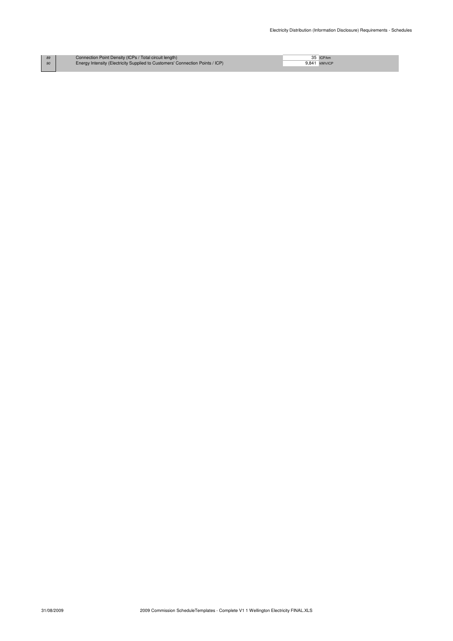| 89 | Connection Point Density (ICPs / Total circuit length)                        | 35 ICP/km     |
|----|-------------------------------------------------------------------------------|---------------|
| 90 | Energy Intensity (Electricity Supplied to Customers' Connection Points / ICP) | 9.841 kWh/ICP |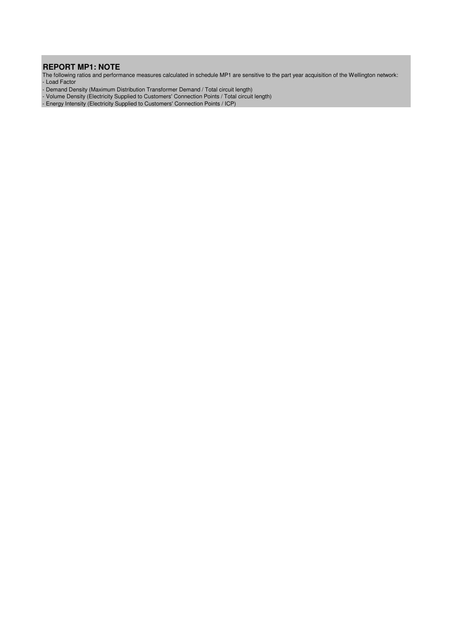# **REPORT MP1: NOTE**

The following ratios and performance measures calculated in schedule MP1 are sensitive to the part year acquisition of the Wellington network: - Load Factor

- Demand Density (Maximum Distribution Transformer Demand / Total circuit length)
- Volume Density (Electricity Supplied to Customers' Connection Points / Total circuit length)
- Energy Intensity (Electricity Supplied to Customers' Connection Points / ICP)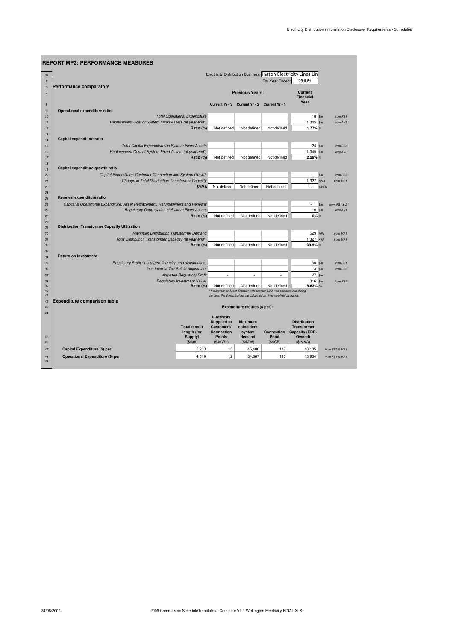|                     | <b>REPORT MP2: PERFORMANCE MEASURES</b>                                         |                                     |                                                                             |                                              |                                                                           |                                                             |               |                |
|---------------------|---------------------------------------------------------------------------------|-------------------------------------|-----------------------------------------------------------------------------|----------------------------------------------|---------------------------------------------------------------------------|-------------------------------------------------------------|---------------|----------------|
| ref                 | Electricity Distribution Business: lington Electricity Lines Lin                |                                     |                                                                             |                                              |                                                                           |                                                             |               |                |
| 5                   |                                                                                 |                                     | For Year Ended:                                                             | 2009                                         |                                                                           |                                                             |               |                |
| 6<br>$\overline{z}$ | Performance comparators                                                         |                                     | <b>Previous Years:</b>                                                      |                                              |                                                                           | <b>Current</b><br><b>Financial</b>                          |               |                |
| $\it 8$             |                                                                                 |                                     |                                                                             | Current Yr - 3 Current Yr - 2 Current Yr - 1 |                                                                           | Year                                                        |               |                |
| 9                   | Operational expenditure ratio                                                   |                                     |                                                                             |                                              |                                                                           |                                                             |               |                |
| 10                  | <b>Total Operational Expenditure</b>                                            |                                     |                                                                             |                                              |                                                                           | $18 \,$ Sm                                                  |               | from FS1       |
| 11                  | Replacement Cost of System Fixed Assets (at year end*)                          |                                     |                                                                             |                                              |                                                                           | 1,045 \$m                                                   |               | from AV3       |
| 12                  |                                                                                 | Ratio (%)                           | Not defined                                                                 | Not defined                                  | Not defined                                                               | 1.77%%                                                      |               |                |
| 13                  |                                                                                 |                                     |                                                                             |                                              |                                                                           |                                                             |               |                |
| 14                  | Capital expenditure ratio                                                       |                                     |                                                                             |                                              |                                                                           |                                                             |               |                |
| 15                  | Total Capital Expenditure on System Fixed Assets                                |                                     |                                                                             |                                              |                                                                           | 24 sm                                                       |               | from FS2       |
| 16                  | Replacement Cost of System Fixed Assets (at year end*)                          |                                     |                                                                             |                                              |                                                                           | 1,045 \$m                                                   |               | from AV3       |
| 17                  |                                                                                 | Ratio (%)                           | Not defined                                                                 | Not defined                                  | Not defined                                                               | 2.29% %                                                     |               |                |
| 18                  | Capital expenditure growth ratio                                                |                                     |                                                                             |                                              |                                                                           |                                                             |               |                |
| 19                  | Capital Expenditure: Customer Connection and System Growth                      |                                     |                                                                             |                                              |                                                                           | $\overline{a}$                                              | $\mathsf{sm}$ | from FS2       |
| 20<br>21            | Change in Total Distribution Transformer Capacity                               |                                     |                                                                             |                                              |                                                                           | 1,327 MVA                                                   |               | from MP1       |
| 22                  |                                                                                 | \$/kVA                              | Not defined                                                                 | Not defined                                  | Not defined                                                               |                                                             | \$/kVA        |                |
| 23                  |                                                                                 |                                     |                                                                             |                                              |                                                                           |                                                             |               |                |
| 24                  | Renewal expenditure ratio                                                       |                                     |                                                                             |                                              |                                                                           |                                                             |               |                |
| 25                  | Capital & Operational Expenditure: Asset Replacement, Refurbishment and Renewal |                                     |                                                                             |                                              |                                                                           |                                                             | \$m           | from FS1 & 2   |
| 26                  | Regulatory Depreciation of System Fixed Assets                                  |                                     |                                                                             |                                              |                                                                           | $10 \,$ \$m                                                 |               | from AV1       |
| 27                  |                                                                                 | Ratio (%)                           | Not defined                                                                 | Not defined                                  | Not defined                                                               | 0%%                                                         |               |                |
| 28                  |                                                                                 |                                     |                                                                             |                                              |                                                                           |                                                             |               |                |
| 29                  | <b>Distribution Transformer Capacity Utilisation</b>                            |                                     |                                                                             |                                              |                                                                           |                                                             |               |                |
| 30                  | Maximum Distribution Transformer Demand                                         |                                     |                                                                             |                                              |                                                                           | 529 MW                                                      |               | from MP1       |
| 31                  | Total Distribution Transformer Capacity (at year end*)                          |                                     | Not defined                                                                 | Not defined                                  | Not defined                                                               | 1,327 kVA<br>39.9%%                                         |               | from MP1       |
| 32<br>33            |                                                                                 | Ratio (%)                           |                                                                             |                                              |                                                                           |                                                             |               |                |
| 34                  | <b>Return on Investment</b>                                                     |                                     |                                                                             |                                              |                                                                           |                                                             |               |                |
| 35                  | Regulatory Profit / Loss (pre-financing and distributions)                      |                                     |                                                                             |                                              |                                                                           | 30 sm                                                       |               | from FS1       |
| 36                  | less Interest Tax Shield Adjustment                                             |                                     |                                                                             |                                              |                                                                           | $3 \,$ \$m                                                  |               | from FS3       |
| 37                  | <b>Adjusted Regulatory Profit</b>                                               |                                     | ÷                                                                           | ÷                                            | ÷,                                                                        | $27 \text{ sm}$                                             |               |                |
| 38                  | <b>Regulatory Investment Value</b>                                              |                                     |                                                                             |                                              |                                                                           | 316 \$m                                                     |               | from FS2       |
| 39                  |                                                                                 | Ratio (%)                           | Not defined                                                                 | Not defined                                  | Not defined                                                               | 8.63% %                                                     |               |                |
| 40                  |                                                                                 |                                     |                                                                             |                                              | * If a Merger or Asset Transfer with another EDB was enetered into during |                                                             |               |                |
| 41<br>42            | <b>Expenditure comparison table</b>                                             |                                     |                                                                             |                                              | the year, the denominators are calcuated as time-weighted averages.       |                                                             |               |                |
| 43                  |                                                                                 |                                     |                                                                             | Expenditure metrics (\$ per):                |                                                                           |                                                             |               |                |
| 44                  |                                                                                 |                                     |                                                                             |                                              |                                                                           |                                                             |               |                |
|                     |                                                                                 | <b>Total circuit</b><br>length (for | Electricity<br><b>Supplied to</b><br><b>Customers'</b><br><b>Connection</b> | <b>Maximum</b><br>coincident<br>system       | <b>Connection</b>                                                         | <b>Distribution</b><br><b>Transformer</b><br>Capacity (EDB- |               |                |
| 45                  |                                                                                 | Supply)                             | <b>Points</b>                                                               | demand                                       | Point                                                                     | Owned)                                                      |               |                |
| 46                  |                                                                                 | (\$/km)                             | (\$/MWh)                                                                    | (\$/MW)                                      | (\$/ICP)                                                                  | (\$/MVA)                                                    |               |                |
| 47                  | Capital Expenditure (\$) per                                                    | 5,233                               | 15                                                                          | 45,400                                       | 147                                                                       | 18,105                                                      |               | from FS2 & MP1 |
| 48                  | Operational Expenditure (\$) per                                                | 4,019                               | 12                                                                          | 34,867                                       | 113                                                                       | 13,904                                                      |               | from FS1 & MP1 |
| 49                  |                                                                                 |                                     |                                                                             |                                              |                                                                           |                                                             |               |                |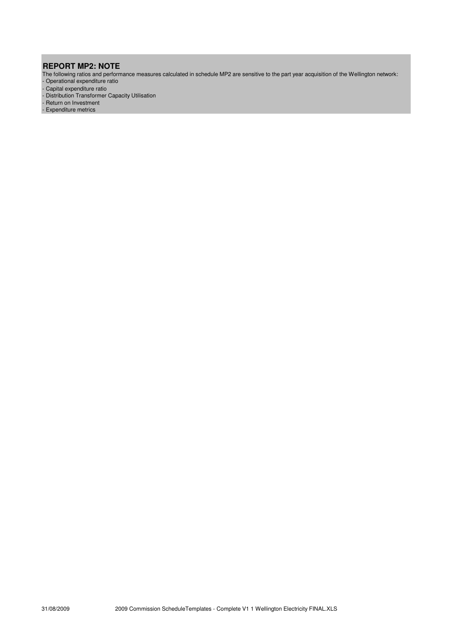# **REPORT MP2: NOTE**

The following ratios and performance measures calculated in schedule MP2 are sensitive to the part year acquisition of the Wellington network:

- Operational expenditure ratio
- Capital expenditure ratio
- Distribution Transformer Capacity Utilisation
- Return on Investment
- Expenditure metrics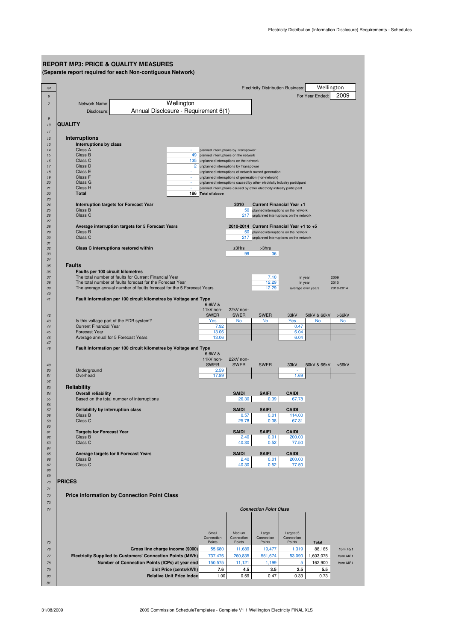|                | <b>REPORT MP3: PRICE &amp; QUALITY MEASURES</b> | (Separate report required for each Non-contiguous Network)            |                                            |                      |                                                                                                                                 |                      |                    |            |
|----------------|-------------------------------------------------|-----------------------------------------------------------------------|--------------------------------------------|----------------------|---------------------------------------------------------------------------------------------------------------------------------|----------------------|--------------------|------------|
| ref            |                                                 |                                                                       |                                            |                      | <b>Electricity Distribution Business:</b>                                                                                       |                      |                    | Wellington |
| 6              |                                                 |                                                                       |                                            |                      |                                                                                                                                 |                      | For Year Ended:    | 2009       |
| $\overline{7}$ | Network Name                                    | <b>Wellington</b>                                                     |                                            |                      |                                                                                                                                 |                      |                    |            |
|                | Disclosure:                                     | Annual Disclosure - Requirement 6(1)                                  |                                            |                      |                                                                                                                                 |                      |                    |            |
| 9              |                                                 |                                                                       |                                            |                      |                                                                                                                                 |                      |                    |            |
| 10             | <b>QUALITY</b>                                  |                                                                       |                                            |                      |                                                                                                                                 |                      |                    |            |
| 11             |                                                 |                                                                       |                                            |                      |                                                                                                                                 |                      |                    |            |
| 12<br>13       | <b>Interruptions</b><br>Interruptions by class  |                                                                       |                                            |                      |                                                                                                                                 |                      |                    |            |
| 14             | Class A                                         | ٠                                                                     | planned interruptions by Transpower:       |                      |                                                                                                                                 |                      |                    |            |
| 15             | Class B                                         |                                                                       | 49 planned interruptions on the network    |                      |                                                                                                                                 |                      |                    |            |
| 16             | Class C                                         |                                                                       | 135 unplanned interruptions on the network |                      |                                                                                                                                 |                      |                    |            |
| 17             | Class D                                         |                                                                       | 2 unplanned interruptions by Transpower    |                      |                                                                                                                                 |                      |                    |            |
| 18             | Class E<br>Class F                              |                                                                       |                                            |                      | unplanned interruptions of network owned generation                                                                             |                      |                    |            |
| 19<br>20       | Class G                                         |                                                                       |                                            |                      | unplanned interruptions of generation (non-network)<br>unplanned interruptions caused by other electricity industry participant |                      |                    |            |
| 21             | Class H                                         |                                                                       |                                            |                      | planned interruptions caused by other electricity industry participant                                                          |                      |                    |            |
| 22             | Total                                           |                                                                       | 186 Total of above                         |                      |                                                                                                                                 |                      |                    |            |
| 23             |                                                 |                                                                       |                                            |                      |                                                                                                                                 |                      |                    |            |
| 24             | <b>Interruption targets for Forecast Year</b>   |                                                                       |                                            | 2010                 | <b>Current Financial Year +1</b>                                                                                                |                      |                    |            |
| 25             | Class B                                         |                                                                       |                                            |                      | 50 planned interruptions on the network                                                                                         |                      |                    |            |
| 26             | Class C                                         |                                                                       |                                            |                      | 217 unplanned interruptions on the network                                                                                      |                      |                    |            |
| 27             |                                                 |                                                                       |                                            |                      | 2010-2014 Current Financial Year +1 to +5                                                                                       |                      |                    |            |
| 28<br>29       | Class B                                         | Average interruption targets for 5 Forecast Years                     |                                            |                      | 50 planned interruptions on the network                                                                                         |                      |                    |            |
| 30             | Class C                                         |                                                                       |                                            |                      | 217 unplanned interruptions on the network                                                                                      |                      |                    |            |
| 31             |                                                 |                                                                       |                                            |                      |                                                                                                                                 |                      |                    |            |
| 32             | Class C interruptions restored within           |                                                                       |                                            | ≤3Hrs                | $>3$ hrs                                                                                                                        |                      |                    |            |
| 33             |                                                 |                                                                       |                                            | 99                   | 36                                                                                                                              |                      |                    |            |
| 34             |                                                 |                                                                       |                                            |                      |                                                                                                                                 |                      |                    |            |
| 35             | <b>Faults</b>                                   |                                                                       |                                            |                      |                                                                                                                                 |                      |                    |            |
| 36             | <b>Faults per 100 circuit kilometres</b>        |                                                                       |                                            |                      |                                                                                                                                 |                      |                    |            |
| 37             |                                                 | The total number of faults for Current Financial Year                 |                                            |                      | 7.10                                                                                                                            |                      | in year            | 2009       |
| 38             |                                                 | The total number of faults forecast for the Forecast Year             |                                            |                      | 12.29                                                                                                                           |                      | in year            | 2010       |
| 39<br>40       |                                                 | The average annual number of faults forecast for the 5 Forecast Years |                                            |                      | 12.29                                                                                                                           |                      | average over years | 2010-2014  |
| 41             |                                                 | Fault Information per 100 circuit kilometres by Voltage and Type      |                                            |                      |                                                                                                                                 |                      |                    |            |
|                |                                                 |                                                                       | 6.6kV &                                    |                      |                                                                                                                                 |                      |                    |            |
|                |                                                 |                                                                       | 11kV non-                                  | 22kV non-            |                                                                                                                                 |                      |                    |            |
| 42             |                                                 |                                                                       | <b>SWER</b>                                | <b>SWER</b>          | <b>SWER</b>                                                                                                                     | 33kV                 | 50kV & 66kV        | >66kV      |
| 43             | Is this voltage part of the EDB system?         |                                                                       | Yes                                        | No                   | No                                                                                                                              | Yes                  | No                 | <b>No</b>  |
| 44             | <b>Current Financial Year</b>                   |                                                                       | 7.92                                       |                      |                                                                                                                                 | 0.47                 |                    |            |
| 45             | <b>Forecast Year</b>                            |                                                                       | 13.06                                      |                      |                                                                                                                                 | 6.04                 |                    |            |
| 46             | Average annual for 5 Forecast Years             |                                                                       | 13.06                                      |                      |                                                                                                                                 | 6.04                 |                    |            |
| 47             |                                                 |                                                                       |                                            |                      |                                                                                                                                 |                      |                    |            |
| 48             |                                                 | Fault Information per 100 circuit kilometres by Voltage and Type      | 6.6kV &                                    |                      |                                                                                                                                 |                      |                    |            |
|                |                                                 |                                                                       | 11kV non-                                  | 22kV non-            |                                                                                                                                 |                      |                    |            |
| 49             |                                                 |                                                                       | <b>SWER</b>                                | <b>SWER</b>          | <b>SWER</b>                                                                                                                     | 33kV                 | 50kV & 66kV        | >66kV      |
| 50             | Underground                                     |                                                                       | 2.59                                       |                      |                                                                                                                                 |                      |                    |            |
| 51             | Overhead                                        |                                                                       | 17.89                                      |                      |                                                                                                                                 | 1.69                 |                    |            |
| 52             |                                                 |                                                                       |                                            |                      |                                                                                                                                 |                      |                    |            |
| 53             | <b>Reliability</b>                              |                                                                       |                                            |                      |                                                                                                                                 |                      |                    |            |
| 54             | <b>Overall reliability</b>                      |                                                                       |                                            | <b>SAIDI</b>         | <b>SAIFI</b>                                                                                                                    | <b>CAIDI</b>         |                    |            |
| 55             | Based on the total number of interruptions      |                                                                       |                                            | 26.30                | 0.39                                                                                                                            | 67.78                |                    |            |
| 56             |                                                 |                                                                       |                                            |                      |                                                                                                                                 |                      |                    |            |
| 57             | Reliability by interruption class               |                                                                       |                                            | <b>SAIDI</b>         | <b>SAIFI</b>                                                                                                                    | <b>CAIDI</b>         |                    |            |
| 58<br>59       | Class B<br>Class C                              |                                                                       |                                            | 0.57<br>25.78        | 0.01<br>0.38                                                                                                                    | 114.00<br>67.31      |                    |            |
| 60             |                                                 |                                                                       |                                            |                      |                                                                                                                                 |                      |                    |            |
| 61             | <b>Targets for Forecast Year</b>                |                                                                       |                                            | <b>SAIDI</b>         | <b>SAIFI</b>                                                                                                                    | <b>CAIDI</b>         |                    |            |
| 62             | Class B                                         |                                                                       |                                            | 2.40                 | 0.01                                                                                                                            | 200.00               |                    |            |
| 63             | Class C                                         |                                                                       |                                            | 40.30                | 0.52                                                                                                                            | 77.50                |                    |            |
| 64             |                                                 |                                                                       |                                            |                      |                                                                                                                                 |                      |                    |            |
| 65             | Average targets for 5 Forecast Years            |                                                                       |                                            | <b>SAIDI</b>         | <b>SAIFI</b>                                                                                                                    | <b>CAIDI</b>         |                    |            |
| 66             | Class B                                         |                                                                       |                                            | 2.40                 | 0.01                                                                                                                            | 200.00               |                    |            |
| 67             | Class C                                         |                                                                       |                                            | 40.30                | 0.52                                                                                                                            | 77.50                |                    |            |
| 68<br>69       |                                                 |                                                                       |                                            |                      |                                                                                                                                 |                      |                    |            |
|                | <b>PRICES</b>                                   |                                                                       |                                            |                      |                                                                                                                                 |                      |                    |            |
| 70             |                                                 |                                                                       |                                            |                      |                                                                                                                                 |                      |                    |            |
| 71             |                                                 |                                                                       |                                            |                      |                                                                                                                                 |                      |                    |            |
| 72             |                                                 | <b>Price information by Connection Point Class</b>                    |                                            |                      |                                                                                                                                 |                      |                    |            |
| 73             |                                                 |                                                                       |                                            |                      |                                                                                                                                 |                      |                    |            |
| 74             |                                                 |                                                                       |                                            |                      | <b>Connection Point Class</b>                                                                                                   |                      |                    |            |
|                |                                                 |                                                                       |                                            |                      |                                                                                                                                 |                      |                    |            |
|                |                                                 |                                                                       |                                            |                      |                                                                                                                                 |                      |                    |            |
|                |                                                 |                                                                       |                                            |                      |                                                                                                                                 |                      |                    |            |
|                |                                                 |                                                                       | Small                                      | Medium               | Large                                                                                                                           | Largest 5            |                    |            |
| 75             |                                                 |                                                                       | Connection<br>Points                       | Connection<br>Points | Connection<br>Points                                                                                                            | Connection<br>Points | Total              |            |
|                |                                                 |                                                                       |                                            |                      |                                                                                                                                 |                      |                    |            |
| 76             |                                                 | Gross line charge income (\$000)                                      | 55,680                                     | 11,689               | 19,477                                                                                                                          | 1,319                | 88,165             | from FS1   |
| 77             |                                                 | <b>Electricity Supplied to Customers' Connection Points (MWh)</b>     | 737,476                                    | 260,835              | 551,674                                                                                                                         | 53,090               | 1,603,075          | from MP1   |
| 78             |                                                 | Number of Connection Points (ICPs) at year end                        | 150,575                                    | 11,121               | 1,199                                                                                                                           | 5                    | 162,900            | from MP1   |
| 79             |                                                 | Unit Price (cents/kWh)                                                | 7.6                                        | 4.5                  | 3.5                                                                                                                             | 2.5                  | 5.5                |            |
| 80             |                                                 | <b>Relative Unit Price Index</b>                                      | 1.00                                       | 0.59                 | 0.47                                                                                                                            | 0.33                 | 0.73               |            |
| 81             |                                                 |                                                                       |                                            |                      |                                                                                                                                 |                      |                    |            |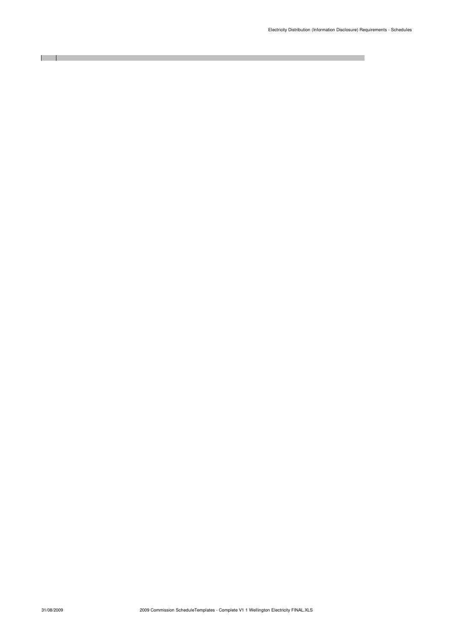an an

 $\mathbf{I}$  and  $\mathbf{I}$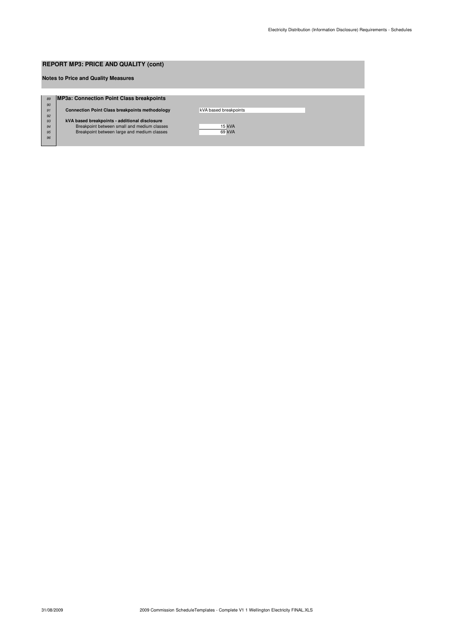# **REPORT MP3: PRICE AND QUALITY (cont)**

# **Notes to Price and Quality Measures**

| 89 | <b>IMP3a: Connection Point Class breakpoints</b>      |                       |
|----|-------------------------------------------------------|-----------------------|
| 90 |                                                       |                       |
| 91 | <b>Connection Point Class breakpoints methodology</b> | kVA based breakpoints |
| 92 |                                                       |                       |
| 93 | kVA based breakpoints - additional disclosure         |                       |
| 94 | Breakpoint between small and medium classes           | 15 kVA                |
| 95 | Breakpoint between large and medium classes           | 69 kVA                |
| 96 |                                                       |                       |
|    |                                                       |                       |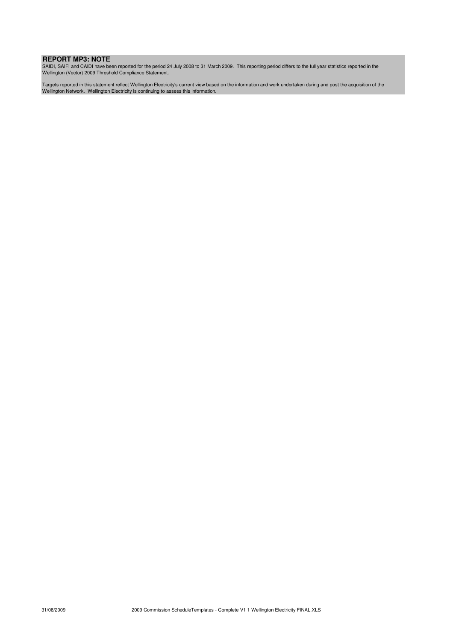# **REPORT MP3: NOTE**

SAIDI, SAIFI and CAIDI have been reported for the period 24 July 2008 to 31 March 2009. This reporting period differs to the full year statistics reported in the Wellington (Vector) 2009 Threshold Compliance Statement.

Targets reported in this statement reflect Wellington Electricity's current view based on the information and work undertaken during and post the acquisition of the Wellington Network. Wellington Electricity is continuing to assess this information.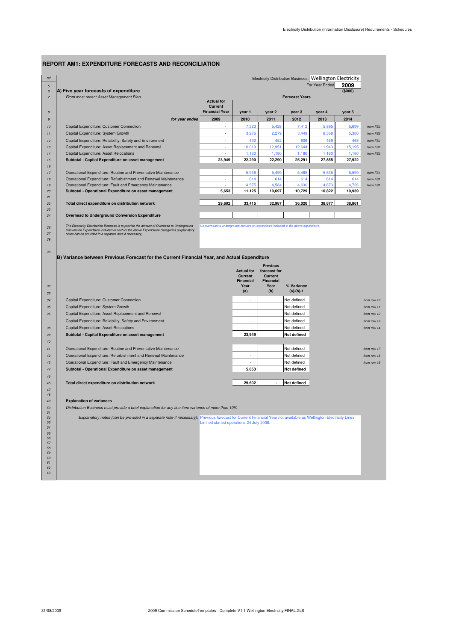# **REPORT AM1: EXPENDITURE FORECASTS AND RECONCILIATION**

| ref            |                                                                                                                                                                                       |                                                                                      |                                    |                                    |                 | Electricity Distribution Business: Wellington Electricity |                 |             |
|----------------|---------------------------------------------------------------------------------------------------------------------------------------------------------------------------------------|--------------------------------------------------------------------------------------|------------------------------------|------------------------------------|-----------------|-----------------------------------------------------------|-----------------|-------------|
| 5              |                                                                                                                                                                                       |                                                                                      |                                    |                                    |                 | For Year Ended                                            | 2009            |             |
| 6              | A) Five year forecasts of expenditure                                                                                                                                                 | (\$000)                                                                              |                                    |                                    |                 |                                                           |                 |             |
| $\overline{7}$ | From most recent Asset Management Plan                                                                                                                                                | <b>Actual for</b>                                                                    | <b>Forecast Years</b>              |                                    |                 |                                                           |                 |             |
|                |                                                                                                                                                                                       | <b>Current</b><br><b>Financial Year</b>                                              |                                    |                                    |                 |                                                           |                 |             |
| 8              |                                                                                                                                                                                       |                                                                                      | year 1                             | year 2                             | year 3          | year 4                                                    | year 5          |             |
| 9              | for year ended                                                                                                                                                                        | 2009                                                                                 | 2010                               | 2011                               | 2012            | 2013                                                      | 2014            |             |
| 10             | Capital Expenditure: Customer Connection                                                                                                                                              | $\overline{\phantom{a}}$                                                             | 7,323                              | 5,428                              | 7,412           | 5,895                                                     | 5,699           | from FS2    |
| 11             | Capital Expenditure: System Growth                                                                                                                                                    | $\overline{a}$                                                                       | 3,276                              | 2,279                              | 3,449           | 8,368                                                     | 5,380           | from FS2    |
| 12             | Capital Expenditure: Reliability, Safety and Environment                                                                                                                              | ÷.                                                                                   | 492                                | 452                                | 606             | 469                                                       | 468             | from FS2    |
| 13<br>14       | Capital Expenditure: Asset Replacement and Renewal                                                                                                                                    | ٠<br>٠                                                                               | 10,019<br>1,180                    | 12,951<br>1,180                    | 12,644<br>1,180 | 11,943<br>1,180                                           | 15,195<br>1,180 | from FS2    |
| 15             | Capital Expenditure: Asset Relocations<br>Subtotal - Capital Expenditure on asset management                                                                                          | 23,949                                                                               | 22,290                             | 22,290                             | 25,291          | 27,855                                                    | 27,922          | from FS2    |
| 16             |                                                                                                                                                                                       |                                                                                      |                                    |                                    |                 |                                                           |                 |             |
| 17             | Operational Expenditure: Routine and Preventative Maintenance                                                                                                                         | ÷.                                                                                   | 5,936                              | 5,499                              | 5,485           | 5,535                                                     | 5,599           | from FS1    |
| 18             | Operational Expenditure: Refurbishment and Renewal Maintenance                                                                                                                        | ٠                                                                                    | 614                                | 614                                | 614             | 614                                                       | 614             | from FS1    |
| 19             | Operational Expenditure: Fault and Emergency Maintenance                                                                                                                              | ٠                                                                                    | 4,575                              | 4,584                              | 4,630           | 4,673                                                     | 4,726           | from FS1    |
| 20             | Subtotal - Operational Expenditure on asset management                                                                                                                                | 5,653                                                                                | 11,125                             | 10,697                             | 10,729          | 10,822                                                    | 10,939          |             |
| 21             |                                                                                                                                                                                       | 29,602                                                                               | 33,415                             | 32,987                             | 36,020          | 38,677                                                    |                 |             |
| 22<br>23       | Total direct expenditure on distribution network                                                                                                                                      |                                                                                      |                                    |                                    |                 |                                                           | 38,861          |             |
| 24             | Overhead to Underground Conversion Expenditure                                                                                                                                        |                                                                                      |                                    |                                    |                 |                                                           |                 |             |
|                |                                                                                                                                                                                       |                                                                                      |                                    |                                    |                 |                                                           |                 |             |
| 26             | The Electricity Distribution Business is to provide the amount of Overhead to Underground<br>Conversion Expenditure included in each of the above Expenditure Categories (explanatory | No overhead to underground conversion expenditure included in the above expenditure. |                                    |                                    |                 |                                                           |                 |             |
| 27             | notes can be provided in a separate note if necessary).                                                                                                                               |                                                                                      |                                    |                                    |                 |                                                           |                 |             |
| 28             |                                                                                                                                                                                       |                                                                                      |                                    |                                    |                 |                                                           |                 |             |
| 30             |                                                                                                                                                                                       |                                                                                      |                                    |                                    |                 |                                                           |                 |             |
|                | B) Variance between Previous Forecast for the Current Financial Year, and Actual Expenditure                                                                                          |                                                                                      |                                    |                                    |                 |                                                           |                 |             |
|                |                                                                                                                                                                                       |                                                                                      |                                    | <b>Previous</b>                    |                 |                                                           |                 |             |
|                |                                                                                                                                                                                       |                                                                                      | <b>Actual for</b>                  | forecast for                       |                 |                                                           |                 |             |
|                |                                                                                                                                                                                       |                                                                                      | <b>Current</b><br><b>Financial</b> | <b>Current</b><br><b>Financial</b> |                 |                                                           |                 |             |
| 32             |                                                                                                                                                                                       |                                                                                      | Year                               | Year                               | % Variance      |                                                           |                 |             |
| 33             |                                                                                                                                                                                       |                                                                                      | (a)                                | (b)                                | $(a)/(b)-1$     |                                                           |                 |             |
| 34             | Capital Expenditure: Customer Connection                                                                                                                                              |                                                                                      | ×.                                 |                                    | Not defined     |                                                           |                 | from row 10 |
| 35             | Capital Expenditure: System Growth                                                                                                                                                    |                                                                                      |                                    |                                    | Not defined     |                                                           |                 | from row 11 |
| 36             | Capital Expenditure: Asset Replacement and Renewal                                                                                                                                    |                                                                                      | ÷.                                 |                                    | Not defined     |                                                           |                 | from row 12 |
|                | Capital Expenditure: Reliability, Safety and Environment                                                                                                                              |                                                                                      | ÷,                                 |                                    | Not defined     |                                                           |                 | from row 13 |
| 38             | Capital Expenditure: Asset Relocations                                                                                                                                                |                                                                                      |                                    |                                    | Not defined     |                                                           |                 | from row 14 |
| 39             | Subtotal - Capital Expenditure on asset management                                                                                                                                    |                                                                                      | 23,949                             |                                    | Not defined     |                                                           |                 |             |
| 40             |                                                                                                                                                                                       |                                                                                      |                                    |                                    |                 |                                                           |                 |             |
| 41             | Operational Expenditure: Routine and Preventative Maintenance                                                                                                                         |                                                                                      |                                    |                                    | Not defined     |                                                           |                 | from row 17 |
| 42             | Operational Expenditure: Refurbishment and Renewal Maintenance                                                                                                                        |                                                                                      | ×.                                 |                                    | Not defined     |                                                           |                 | from row 18 |
| 43             | Operational Expenditure: Fault and Emergency Maintenance                                                                                                                              |                                                                                      | ×.                                 |                                    | Not defined     |                                                           |                 | from row 19 |
| 44             | Subtotal - Operational Expenditure on asset management                                                                                                                                |                                                                                      | 5,653                              |                                    | Not defined     |                                                           |                 |             |
| 45             |                                                                                                                                                                                       |                                                                                      |                                    |                                    |                 |                                                           |                 |             |
| 46             | Total direct expenditure on distribution network                                                                                                                                      |                                                                                      | 29,602                             |                                    | Not defined     |                                                           |                 |             |
| 47<br>48       |                                                                                                                                                                                       |                                                                                      |                                    |                                    |                 |                                                           |                 |             |
| 49             | <b>Explanation of variances</b>                                                                                                                                                       |                                                                                      |                                    |                                    |                 |                                                           |                 |             |
| 50             | Distribution Business must provide a brief explanation for any line item variance of more than 10%                                                                                    |                                                                                      |                                    |                                    |                 |                                                           |                 |             |
| 51             |                                                                                                                                                                                       |                                                                                      |                                    |                                    |                 |                                                           |                 |             |
| 52<br>53       | Explanatory notes (can be provided in a separate note if necessary): Previous forecast for Current Financial Year not available as Wellington Electricity Lines                       | Limited started operations 24 July 2008.                                             |                                    |                                    |                 |                                                           |                 |             |
| 54             |                                                                                                                                                                                       |                                                                                      |                                    |                                    |                 |                                                           |                 |             |
| 55             |                                                                                                                                                                                       |                                                                                      |                                    |                                    |                 |                                                           |                 |             |
| 56<br>57       |                                                                                                                                                                                       |                                                                                      |                                    |                                    |                 |                                                           |                 |             |
| 58             |                                                                                                                                                                                       |                                                                                      |                                    |                                    |                 |                                                           |                 |             |
| 59             |                                                                                                                                                                                       |                                                                                      |                                    |                                    |                 |                                                           |                 |             |
| 60<br>61       |                                                                                                                                                                                       |                                                                                      |                                    |                                    |                 |                                                           |                 |             |
| 62<br>63       |                                                                                                                                                                                       |                                                                                      |                                    |                                    |                 |                                                           |                 |             |
|                |                                                                                                                                                                                       |                                                                                      |                                    |                                    |                 |                                                           |                 |             |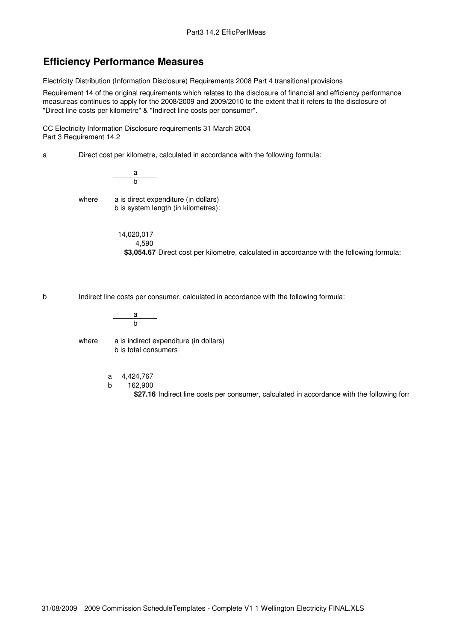# **Efficiency Performance Measures**

Electricity Distribution (Information Disclosure) Requirements 2008 Part 4 transitional provisions

Requirement 14 of the original requirements which relates to the disclosure of financial and efficiency performance measureas continues to apply for the 2008/2009 and 2009/2010 to the extent that it refers to the disclosure of "Direct line costs per kilometre" & "Indirect line costs per consumer".

CC Electricity Information Disclosure requirements 31 March 2004 Part 3 Requirement 14.2

a Direct cost per kilometre, calculated in accordance with the following formula:

$$
\begin{array}{c}\n \phantom{-}a \\
 \phantom{-}b\n \end{array}
$$

where a is direct expenditure (in dollars) b is system length (in kilometres):

$$
\frac{14,020,017}{4,590}
$$

**\$3,054.67** Direct cost per kilometre, calculated in accordance with the following formula:

b Indirect line costs per consumer, calculated in accordance with the following formula:

a b

where a is indirect expenditure (in dollars) b is total consumers

$$
a \quad 4,424,767
$$

 $b$  162,900

\$27.16 Indirect line costs per consumer, calculated in accordance with the following formula: